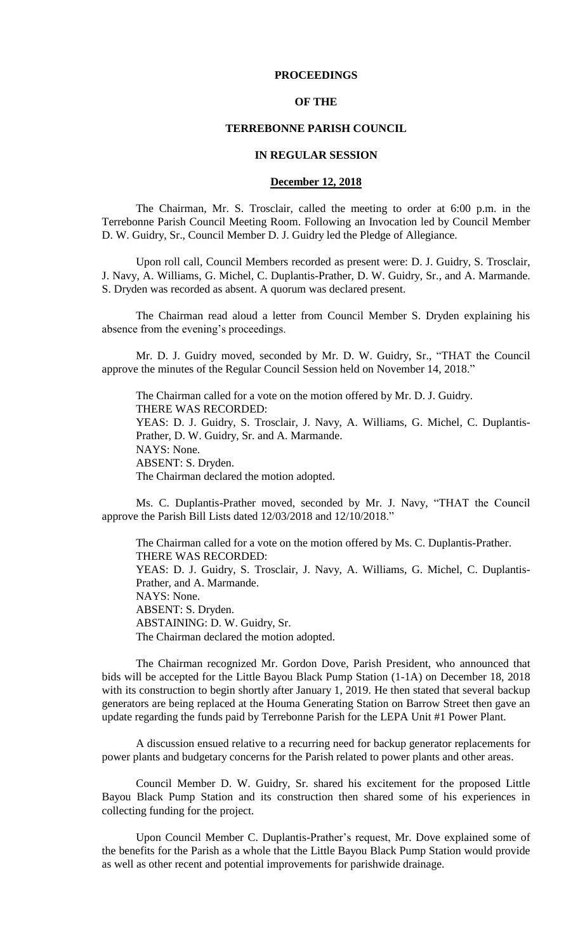# **PROCEEDINGS**

# **OF THE**

# **TERREBONNE PARISH COUNCIL**

### **IN REGULAR SESSION**

# **December 12, 2018**

The Chairman, Mr. S. Trosclair, called the meeting to order at 6:00 p.m. in the Terrebonne Parish Council Meeting Room. Following an Invocation led by Council Member D. W. Guidry, Sr., Council Member D. J. Guidry led the Pledge of Allegiance.

Upon roll call, Council Members recorded as present were: D. J. Guidry, S. Trosclair, J. Navy, A. Williams, G. Michel, C. Duplantis-Prather, D. W. Guidry, Sr., and A. Marmande. S. Dryden was recorded as absent. A quorum was declared present.

The Chairman read aloud a letter from Council Member S. Dryden explaining his absence from the evening's proceedings.

Mr. D. J. Guidry moved, seconded by Mr. D. W. Guidry, Sr., "THAT the Council approve the minutes of the Regular Council Session held on November 14, 2018."

The Chairman called for a vote on the motion offered by Mr. D. J. Guidry. THERE WAS RECORDED: YEAS: D. J. Guidry, S. Trosclair, J. Navy, A. Williams, G. Michel, C. Duplantis-Prather, D. W. Guidry, Sr. and A. Marmande. NAYS: None. ABSENT: S. Dryden. The Chairman declared the motion adopted.

Ms. C. Duplantis-Prather moved, seconded by Mr. J. Navy, "THAT the Council approve the Parish Bill Lists dated 12/03/2018 and 12/10/2018."

The Chairman called for a vote on the motion offered by Ms. C. Duplantis-Prather. THERE WAS RECORDED: YEAS: D. J. Guidry, S. Trosclair, J. Navy, A. Williams, G. Michel, C. Duplantis-Prather, and A. Marmande. NAYS: None. ABSENT: S. Dryden. ABSTAINING: D. W. Guidry, Sr. The Chairman declared the motion adopted.

The Chairman recognized Mr. Gordon Dove, Parish President, who announced that bids will be accepted for the Little Bayou Black Pump Station (1-1A) on December 18, 2018 with its construction to begin shortly after January 1, 2019. He then stated that several backup generators are being replaced at the Houma Generating Station on Barrow Street then gave an update regarding the funds paid by Terrebonne Parish for the LEPA Unit #1 Power Plant.

A discussion ensued relative to a recurring need for backup generator replacements for power plants and budgetary concerns for the Parish related to power plants and other areas.

Council Member D. W. Guidry, Sr. shared his excitement for the proposed Little Bayou Black Pump Station and its construction then shared some of his experiences in collecting funding for the project.

Upon Council Member C. Duplantis-Prather's request, Mr. Dove explained some of the benefits for the Parish as a whole that the Little Bayou Black Pump Station would provide as well as other recent and potential improvements for parishwide drainage.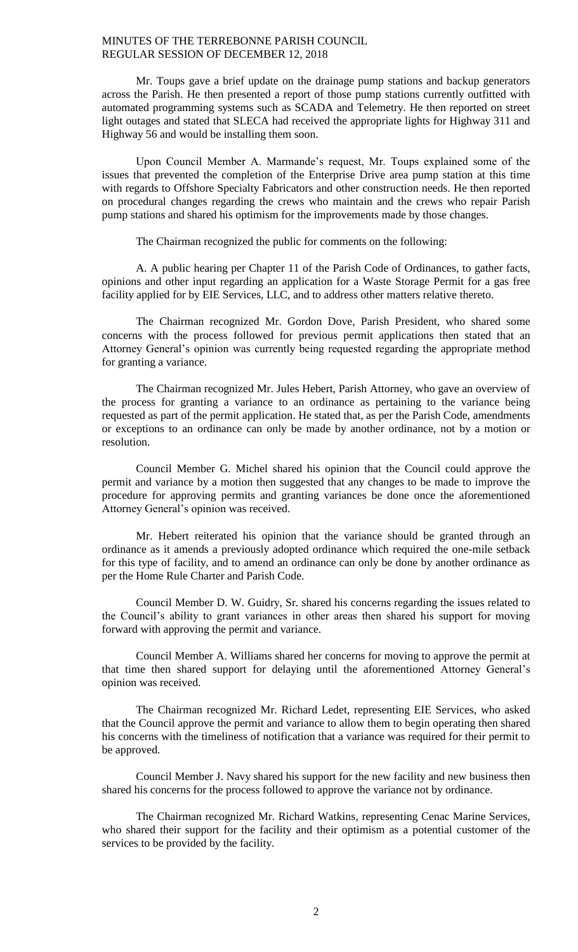Mr. Toups gave a brief update on the drainage pump stations and backup generators across the Parish. He then presented a report of those pump stations currently outfitted with automated programming systems such as SCADA and Telemetry. He then reported on street light outages and stated that SLECA had received the appropriate lights for Highway 311 and Highway 56 and would be installing them soon.

Upon Council Member A. Marmande's request, Mr. Toups explained some of the issues that prevented the completion of the Enterprise Drive area pump station at this time with regards to Offshore Specialty Fabricators and other construction needs. He then reported on procedural changes regarding the crews who maintain and the crews who repair Parish pump stations and shared his optimism for the improvements made by those changes.

The Chairman recognized the public for comments on the following:

A. A public hearing per Chapter 11 of the Parish Code of Ordinances, to gather facts, opinions and other input regarding an application for a Waste Storage Permit for a gas free facility applied for by EIE Services, LLC, and to address other matters relative thereto.

The Chairman recognized Mr. Gordon Dove, Parish President, who shared some concerns with the process followed for previous permit applications then stated that an Attorney General's opinion was currently being requested regarding the appropriate method for granting a variance.

The Chairman recognized Mr. Jules Hebert, Parish Attorney, who gave an overview of the process for granting a variance to an ordinance as pertaining to the variance being requested as part of the permit application. He stated that, as per the Parish Code, amendments or exceptions to an ordinance can only be made by another ordinance, not by a motion or resolution.

Council Member G. Michel shared his opinion that the Council could approve the permit and variance by a motion then suggested that any changes to be made to improve the procedure for approving permits and granting variances be done once the aforementioned Attorney General's opinion was received.

Mr. Hebert reiterated his opinion that the variance should be granted through an ordinance as it amends a previously adopted ordinance which required the one-mile setback for this type of facility, and to amend an ordinance can only be done by another ordinance as per the Home Rule Charter and Parish Code.

Council Member D. W. Guidry, Sr. shared his concerns regarding the issues related to the Council's ability to grant variances in other areas then shared his support for moving forward with approving the permit and variance.

Council Member A. Williams shared her concerns for moving to approve the permit at that time then shared support for delaying until the aforementioned Attorney General's opinion was received.

The Chairman recognized Mr. Richard Ledet, representing EIE Services, who asked that the Council approve the permit and variance to allow them to begin operating then shared his concerns with the timeliness of notification that a variance was required for their permit to be approved.

Council Member J. Navy shared his support for the new facility and new business then shared his concerns for the process followed to approve the variance not by ordinance.

The Chairman recognized Mr. Richard Watkins, representing Cenac Marine Services, who shared their support for the facility and their optimism as a potential customer of the services to be provided by the facility.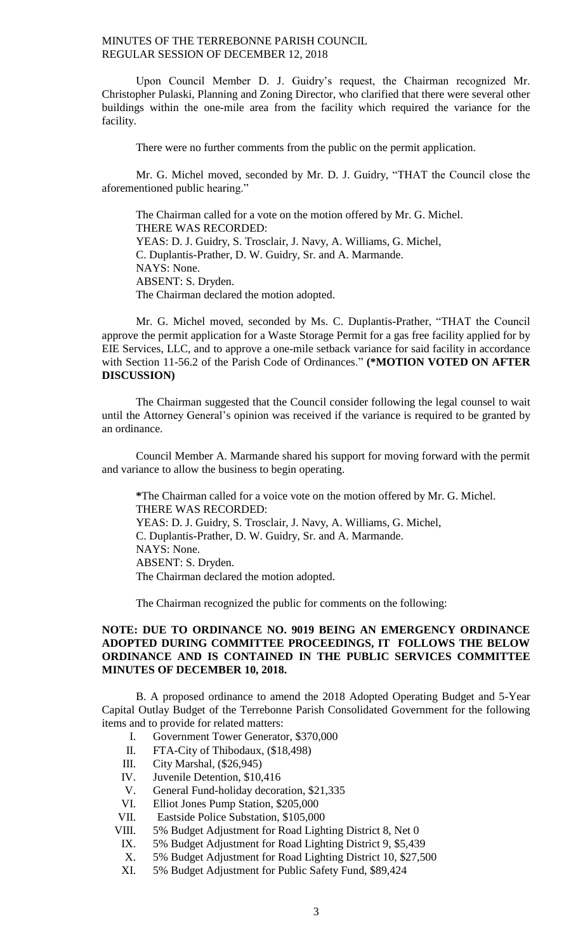Upon Council Member D. J. Guidry's request, the Chairman recognized Mr. Christopher Pulaski, Planning and Zoning Director, who clarified that there were several other buildings within the one-mile area from the facility which required the variance for the facility.

There were no further comments from the public on the permit application.

Mr. G. Michel moved, seconded by Mr. D. J. Guidry, "THAT the Council close the aforementioned public hearing."

The Chairman called for a vote on the motion offered by Mr. G. Michel. THERE WAS RECORDED: YEAS: D. J. Guidry, S. Trosclair, J. Navy, A. Williams, G. Michel, C. Duplantis-Prather, D. W. Guidry, Sr. and A. Marmande. NAYS: None. ABSENT: S. Dryden. The Chairman declared the motion adopted.

Mr. G. Michel moved, seconded by Ms. C. Duplantis-Prather, "THAT the Council approve the permit application for a Waste Storage Permit for a gas free facility applied for by EIE Services, LLC, and to approve a one-mile setback variance for said facility in accordance with Section 11-56.2 of the Parish Code of Ordinances." **(\*MOTION VOTED ON AFTER DISCUSSION)**

The Chairman suggested that the Council consider following the legal counsel to wait until the Attorney General's opinion was received if the variance is required to be granted by an ordinance.

Council Member A. Marmande shared his support for moving forward with the permit and variance to allow the business to begin operating.

**\***The Chairman called for a voice vote on the motion offered by Mr. G. Michel. THERE WAS RECORDED: YEAS: D. J. Guidry, S. Trosclair, J. Navy, A. Williams, G. Michel, C. Duplantis-Prather, D. W. Guidry, Sr. and A. Marmande. NAYS: None. ABSENT: S. Dryden. The Chairman declared the motion adopted.

The Chairman recognized the public for comments on the following:

# **NOTE: DUE TO ORDINANCE NO. 9019 BEING AN EMERGENCY ORDINANCE ADOPTED DURING COMMITTEE PROCEEDINGS, IT FOLLOWS THE BELOW ORDINANCE AND IS CONTAINED IN THE PUBLIC SERVICES COMMITTEE MINUTES OF DECEMBER 10, 2018.**

B. A proposed ordinance to amend the 2018 Adopted Operating Budget and 5-Year Capital Outlay Budget of the Terrebonne Parish Consolidated Government for the following items and to provide for related matters:

- I. Government Tower Generator, \$370,000
- II. FTA-City of Thibodaux, (\$18,498)
- III. City Marshal, (\$26,945)
- IV. Juvenile Detention, \$10,416
- V. General Fund-holiday decoration, \$21,335
- VI. Elliot Jones Pump Station, \$205,000
- VII. Eastside Police Substation, \$105,000
- VIII. 5% Budget Adjustment for Road Lighting District 8, Net 0
	- IX. 5% Budget Adjustment for Road Lighting District 9, \$5,439
	- X. 5% Budget Adjustment for Road Lighting District 10, \$27,500
	- XI. 5% Budget Adjustment for Public Safety Fund, \$89,424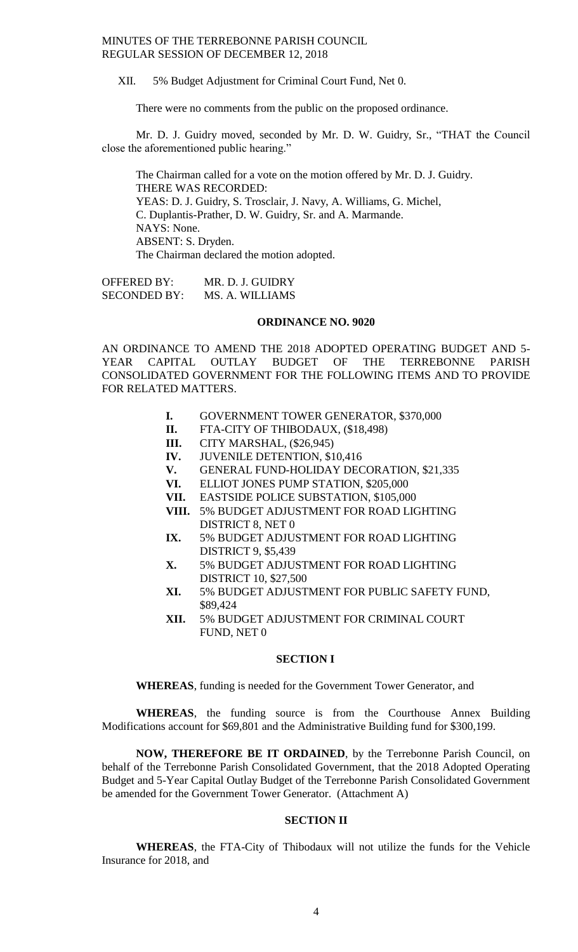XII. 5% Budget Adjustment for Criminal Court Fund, Net 0.

There were no comments from the public on the proposed ordinance.

Mr. D. J. Guidry moved, seconded by Mr. D. W. Guidry, Sr., "THAT the Council close the aforementioned public hearing."

The Chairman called for a vote on the motion offered by Mr. D. J. Guidry. THERE WAS RECORDED: YEAS: D. J. Guidry, S. Trosclair, J. Navy, A. Williams, G. Michel, C. Duplantis-Prather, D. W. Guidry, Sr. and A. Marmande. NAYS: None. ABSENT: S. Dryden. The Chairman declared the motion adopted.

OFFERED BY: MR. D. J. GUIDRY SECONDED BY: MS. A. WILLIAMS

# **ORDINANCE NO. 9020**

AN ORDINANCE TO AMEND THE 2018 ADOPTED OPERATING BUDGET AND 5- YEAR CAPITAL OUTLAY BUDGET OF THE TERREBONNE PARISH CONSOLIDATED GOVERNMENT FOR THE FOLLOWING ITEMS AND TO PROVIDE FOR RELATED MATTERS.

- **I.** GOVERNMENT TOWER GENERATOR, \$370,000
- **II.** FTA-CITY OF THIBODAUX, (\$18,498)
- **III.** CITY MARSHAL, (\$26,945)
- **IV.** JUVENILE DETENTION, \$10,416
- **V.** GENERAL FUND-HOLIDAY DECORATION, \$21,335
- **VI.** ELLIOT JONES PUMP STATION, \$205,000
- **VII.** EASTSIDE POLICE SUBSTATION, \$105,000
- **VIII.** 5% BUDGET ADJUSTMENT FOR ROAD LIGHTING DISTRICT 8, NET 0
- **IX.** 5% BUDGET ADJUSTMENT FOR ROAD LIGHTING DISTRICT 9, \$5,439
- **X.** 5% BUDGET ADJUSTMENT FOR ROAD LIGHTING DISTRICT 10, \$27,500
- **XI.** 5% BUDGET ADJUSTMENT FOR PUBLIC SAFETY FUND, \$89,424
- **XII.** 5% BUDGET ADJUSTMENT FOR CRIMINAL COURT FUND, NET 0

### **SECTION I**

**WHEREAS**, funding is needed for the Government Tower Generator, and

**WHEREAS**, the funding source is from the Courthouse Annex Building Modifications account for \$69,801 and the Administrative Building fund for \$300,199.

**NOW, THEREFORE BE IT ORDAINED**, by the Terrebonne Parish Council, on behalf of the Terrebonne Parish Consolidated Government, that the 2018 Adopted Operating Budget and 5-Year Capital Outlay Budget of the Terrebonne Parish Consolidated Government be amended for the Government Tower Generator. (Attachment A)

# **SECTION II**

**WHEREAS**, the FTA-City of Thibodaux will not utilize the funds for the Vehicle Insurance for 2018, and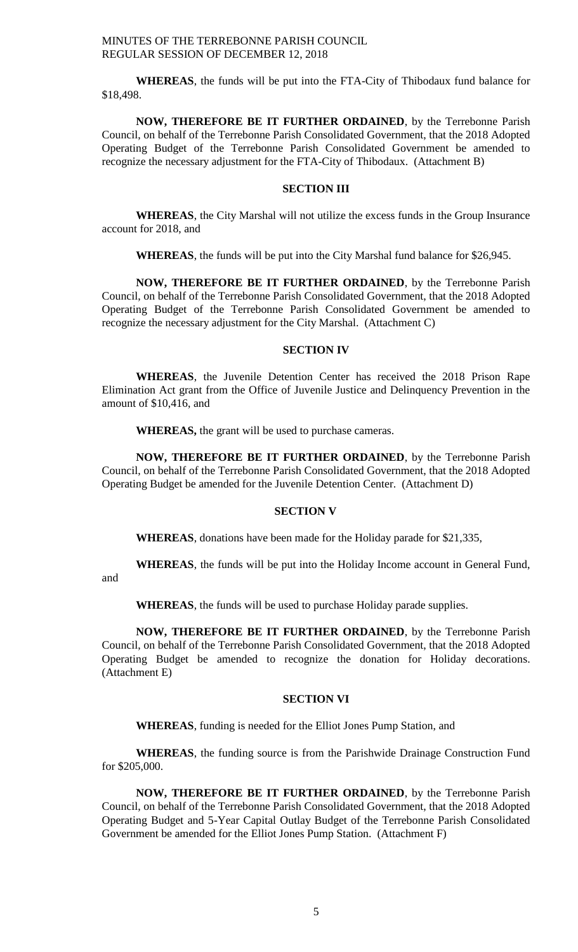**WHEREAS**, the funds will be put into the FTA-City of Thibodaux fund balance for \$18,498.

**NOW, THEREFORE BE IT FURTHER ORDAINED**, by the Terrebonne Parish Council, on behalf of the Terrebonne Parish Consolidated Government, that the 2018 Adopted Operating Budget of the Terrebonne Parish Consolidated Government be amended to recognize the necessary adjustment for the FTA-City of Thibodaux. (Attachment B)

# **SECTION III**

**WHEREAS**, the City Marshal will not utilize the excess funds in the Group Insurance account for 2018, and

**WHEREAS**, the funds will be put into the City Marshal fund balance for \$26,945.

**NOW, THEREFORE BE IT FURTHER ORDAINED**, by the Terrebonne Parish Council, on behalf of the Terrebonne Parish Consolidated Government, that the 2018 Adopted Operating Budget of the Terrebonne Parish Consolidated Government be amended to recognize the necessary adjustment for the City Marshal. (Attachment C)

# **SECTION IV**

**WHEREAS**, the Juvenile Detention Center has received the 2018 Prison Rape Elimination Act grant from the Office of Juvenile Justice and Delinquency Prevention in the amount of \$10,416, and

**WHEREAS,** the grant will be used to purchase cameras.

**NOW, THEREFORE BE IT FURTHER ORDAINED**, by the Terrebonne Parish Council, on behalf of the Terrebonne Parish Consolidated Government, that the 2018 Adopted Operating Budget be amended for the Juvenile Detention Center. (Attachment D)

# **SECTION V**

**WHEREAS**, donations have been made for the Holiday parade for \$21,335,

**WHEREAS**, the funds will be put into the Holiday Income account in General Fund,

and

**WHEREAS**, the funds will be used to purchase Holiday parade supplies.

**NOW, THEREFORE BE IT FURTHER ORDAINED**, by the Terrebonne Parish Council, on behalf of the Terrebonne Parish Consolidated Government, that the 2018 Adopted Operating Budget be amended to recognize the donation for Holiday decorations. (Attachment E)

### **SECTION VI**

**WHEREAS**, funding is needed for the Elliot Jones Pump Station, and

**WHEREAS**, the funding source is from the Parishwide Drainage Construction Fund for \$205,000.

**NOW, THEREFORE BE IT FURTHER ORDAINED**, by the Terrebonne Parish Council, on behalf of the Terrebonne Parish Consolidated Government, that the 2018 Adopted Operating Budget and 5-Year Capital Outlay Budget of the Terrebonne Parish Consolidated Government be amended for the Elliot Jones Pump Station. (Attachment F)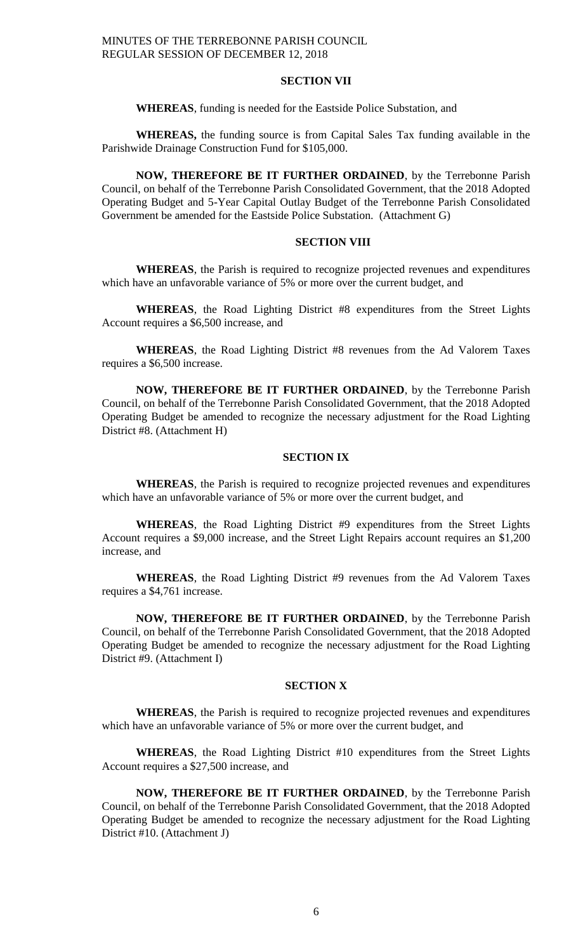# **SECTION VII**

### **WHEREAS**, funding is needed for the Eastside Police Substation, and

**WHEREAS,** the funding source is from Capital Sales Tax funding available in the Parishwide Drainage Construction Fund for \$105,000.

**NOW, THEREFORE BE IT FURTHER ORDAINED**, by the Terrebonne Parish Council, on behalf of the Terrebonne Parish Consolidated Government, that the 2018 Adopted Operating Budget and 5-Year Capital Outlay Budget of the Terrebonne Parish Consolidated Government be amended for the Eastside Police Substation. (Attachment G)

# **SECTION VIII**

**WHEREAS**, the Parish is required to recognize projected revenues and expenditures which have an unfavorable variance of 5% or more over the current budget, and

**WHEREAS**, the Road Lighting District #8 expenditures from the Street Lights Account requires a \$6,500 increase, and

**WHEREAS**, the Road Lighting District #8 revenues from the Ad Valorem Taxes requires a \$6,500 increase.

**NOW, THEREFORE BE IT FURTHER ORDAINED**, by the Terrebonne Parish Council, on behalf of the Terrebonne Parish Consolidated Government, that the 2018 Adopted Operating Budget be amended to recognize the necessary adjustment for the Road Lighting District #8. (Attachment H)

### **SECTION IX**

**WHEREAS**, the Parish is required to recognize projected revenues and expenditures which have an unfavorable variance of 5% or more over the current budget, and

**WHEREAS**, the Road Lighting District #9 expenditures from the Street Lights Account requires a \$9,000 increase, and the Street Light Repairs account requires an \$1,200 increase, and

**WHEREAS**, the Road Lighting District #9 revenues from the Ad Valorem Taxes requires a \$4,761 increase.

**NOW, THEREFORE BE IT FURTHER ORDAINED**, by the Terrebonne Parish Council, on behalf of the Terrebonne Parish Consolidated Government, that the 2018 Adopted Operating Budget be amended to recognize the necessary adjustment for the Road Lighting District #9. (Attachment I)

### **SECTION X**

**WHEREAS**, the Parish is required to recognize projected revenues and expenditures which have an unfavorable variance of 5% or more over the current budget, and

**WHEREAS**, the Road Lighting District #10 expenditures from the Street Lights Account requires a \$27,500 increase, and

**NOW, THEREFORE BE IT FURTHER ORDAINED**, by the Terrebonne Parish Council, on behalf of the Terrebonne Parish Consolidated Government, that the 2018 Adopted Operating Budget be amended to recognize the necessary adjustment for the Road Lighting District #10. (Attachment J)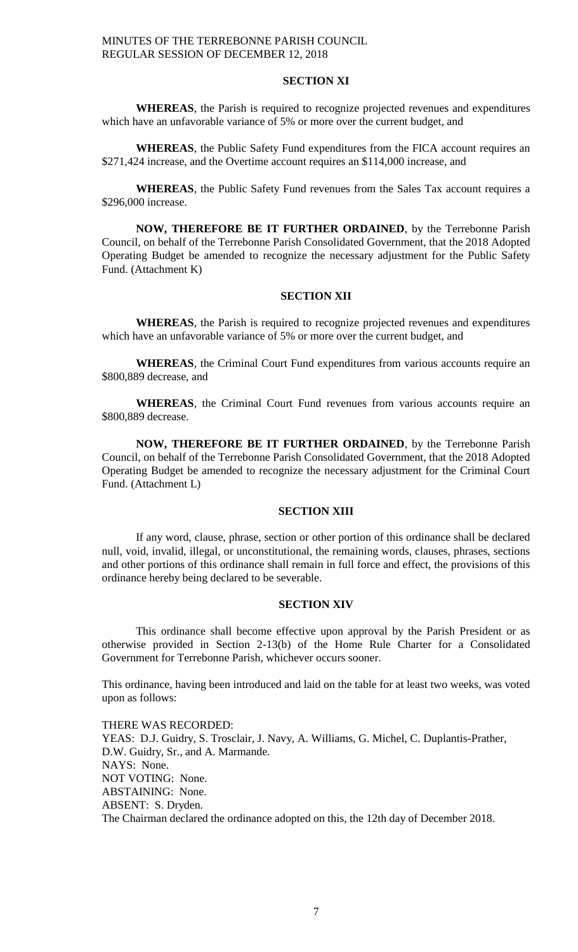# **SECTION XI**

**WHEREAS**, the Parish is required to recognize projected revenues and expenditures which have an unfavorable variance of 5% or more over the current budget, and

**WHEREAS**, the Public Safety Fund expenditures from the FICA account requires an \$271,424 increase, and the Overtime account requires an \$114,000 increase, and

**WHEREAS**, the Public Safety Fund revenues from the Sales Tax account requires a \$296,000 increase.

**NOW, THEREFORE BE IT FURTHER ORDAINED**, by the Terrebonne Parish Council, on behalf of the Terrebonne Parish Consolidated Government, that the 2018 Adopted Operating Budget be amended to recognize the necessary adjustment for the Public Safety Fund. (Attachment K)

#### **SECTION XII**

**WHEREAS**, the Parish is required to recognize projected revenues and expenditures which have an unfavorable variance of 5% or more over the current budget, and

**WHEREAS**, the Criminal Court Fund expenditures from various accounts require an \$800,889 decrease, and

**WHEREAS**, the Criminal Court Fund revenues from various accounts require an \$800,889 decrease.

**NOW, THEREFORE BE IT FURTHER ORDAINED**, by the Terrebonne Parish Council, on behalf of the Terrebonne Parish Consolidated Government, that the 2018 Adopted Operating Budget be amended to recognize the necessary adjustment for the Criminal Court Fund. (Attachment L)

# **SECTION XIII**

If any word, clause, phrase, section or other portion of this ordinance shall be declared null, void, invalid, illegal, or unconstitutional, the remaining words, clauses, phrases, sections and other portions of this ordinance shall remain in full force and effect, the provisions of this ordinance hereby being declared to be severable.

# **SECTION XIV**

This ordinance shall become effective upon approval by the Parish President or as otherwise provided in Section 2-13(b) of the Home Rule Charter for a Consolidated Government for Terrebonne Parish, whichever occurs sooner.

This ordinance, having been introduced and laid on the table for at least two weeks, was voted upon as follows:

THERE WAS RECORDED: YEAS: D.J. Guidry, S. Trosclair, J. Navy, A. Williams, G. Michel, C. Duplantis-Prather, D.W. Guidry, Sr., and A. Marmande. NAYS: None. NOT VOTING: None. ABSTAINING: None. ABSENT: S. Dryden. The Chairman declared the ordinance adopted on this, the 12th day of December 2018.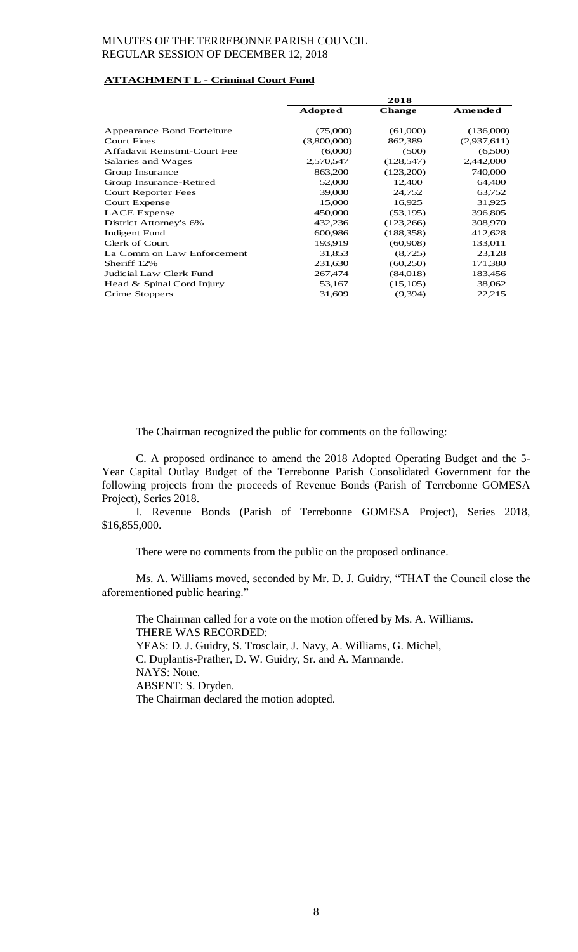# **ATTACHMENT L - Criminal Court Fund**

|                              | 2018           |               |                |
|------------------------------|----------------|---------------|----------------|
|                              | <b>Adopted</b> | <b>Change</b> | <b>Amended</b> |
|                              |                |               |                |
| Appearance Bond Forfeiture   | (75,000)       | (61,000)      | (136,000)      |
| <b>Court Fines</b>           | (3,800,000)    | 862,389       | (2,937,611)    |
| Affadavit Reinstmt-Court Fee | (6,000)        | (500)         | (6,500)        |
| Salaries and Wages           | 2,570,547      | (128, 547)    | 2,442,000      |
| Group Insurance              | 863,200        | (123,200)     | 740,000        |
| Group Insurance-Retired      | 52,000         | 12,400        | 64,400         |
| Court Reporter Fees          | 39,000         | 24,752        | 63,752         |
| Court Expense                | 15,000         | 16,925        | 31,925         |
| <b>LACE</b> Expense          | 450,000        | (53,195)      | 396,805        |
| District Attorney's 6%       | 432,236        | (123,266)     | 308,970        |
| <b>Indigent Fund</b>         | 600,986        | (188, 358)    | 412,628        |
| Clerk of Court               | 193,919        | (60,908)      | 133,011        |
| La Comm on Law Enforcement   | 31,853         | (8,725)       | 23,128         |
| Sheriff 12%                  | 231,630        | (60,250)      | 171,380        |
| Judicial Law Clerk Fund      | 267,474        | (84,018)      | 183,456        |
| Head & Spinal Cord Injury    | 53,167         | (15,105)      | 38,062         |
| Crime Stoppers               | 31,609         | (9,394)       | 22,215         |
|                              |                |               |                |

The Chairman recognized the public for comments on the following:

C. A proposed ordinance to amend the 2018 Adopted Operating Budget and the 5- Year Capital Outlay Budget of the Terrebonne Parish Consolidated Government for the following projects from the proceeds of Revenue Bonds (Parish of Terrebonne GOMESA Project), Series 2018.

I. Revenue Bonds (Parish of Terrebonne GOMESA Project), Series 2018, \$16,855,000.

There were no comments from the public on the proposed ordinance.

Ms. A. Williams moved, seconded by Mr. D. J. Guidry, "THAT the Council close the aforementioned public hearing."

The Chairman called for a vote on the motion offered by Ms. A. Williams. THERE WAS RECORDED: YEAS: D. J. Guidry, S. Trosclair, J. Navy, A. Williams, G. Michel, C. Duplantis-Prather, D. W. Guidry, Sr. and A. Marmande. NAYS: None. ABSENT: S. Dryden. The Chairman declared the motion adopted.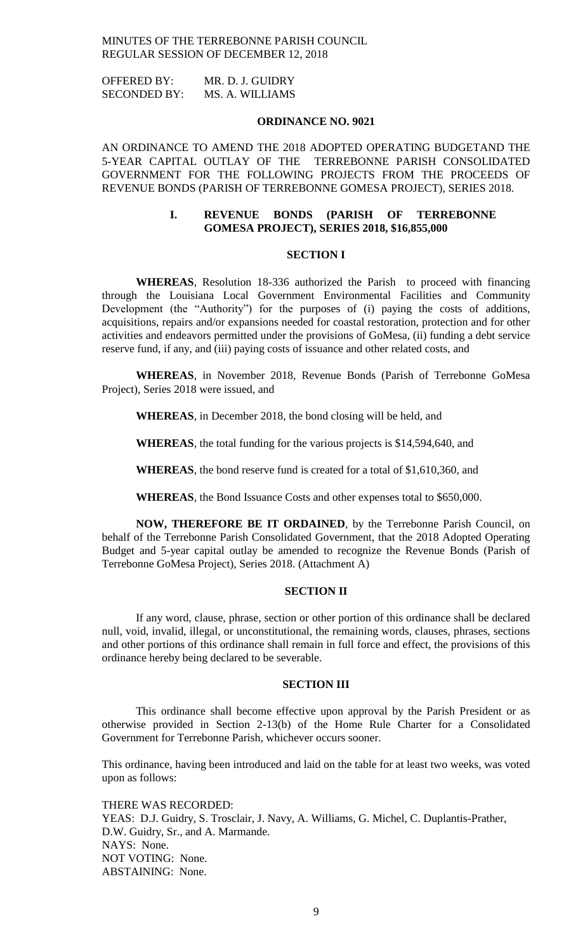| <b>OFFERED BY:</b>  | MR. D. J. GUIDRY |
|---------------------|------------------|
| <b>SECONDED BY:</b> | MS. A. WILLIAMS  |

#### **ORDINANCE NO. 9021**

AN ORDINANCE TO AMEND THE 2018 ADOPTED OPERATING BUDGETAND THE 5-YEAR CAPITAL OUTLAY OF THE TERREBONNE PARISH CONSOLIDATED GOVERNMENT FOR THE FOLLOWING PROJECTS FROM THE PROCEEDS OF REVENUE BONDS (PARISH OF TERREBONNE GOMESA PROJECT), SERIES 2018.

# **I. REVENUE BONDS (PARISH OF TERREBONNE GOMESA PROJECT), SERIES 2018, \$16,855,000**

# **SECTION I**

**WHEREAS**, Resolution 18-336 authorized the Parish to proceed with financing through the Louisiana Local Government Environmental Facilities and Community Development (the "Authority") for the purposes of (i) paying the costs of additions, acquisitions, repairs and/or expansions needed for coastal restoration, protection and for other activities and endeavors permitted under the provisions of GoMesa, (ii) funding a debt service reserve fund, if any, and (iii) paying costs of issuance and other related costs, and

**WHEREAS**, in November 2018, Revenue Bonds (Parish of Terrebonne GoMesa Project), Series 2018 were issued, and

**WHEREAS**, in December 2018, the bond closing will be held, and

**WHEREAS**, the total funding for the various projects is \$14,594,640, and

**WHEREAS**, the bond reserve fund is created for a total of \$1,610,360, and

**WHEREAS**, the Bond Issuance Costs and other expenses total to \$650,000.

**NOW, THEREFORE BE IT ORDAINED**, by the Terrebonne Parish Council, on behalf of the Terrebonne Parish Consolidated Government, that the 2018 Adopted Operating Budget and 5-year capital outlay be amended to recognize the Revenue Bonds (Parish of Terrebonne GoMesa Project), Series 2018. (Attachment A)

## **SECTION II**

If any word, clause, phrase, section or other portion of this ordinance shall be declared null, void, invalid, illegal, or unconstitutional, the remaining words, clauses, phrases, sections and other portions of this ordinance shall remain in full force and effect, the provisions of this ordinance hereby being declared to be severable.

### **SECTION III**

This ordinance shall become effective upon approval by the Parish President or as otherwise provided in Section 2-13(b) of the Home Rule Charter for a Consolidated Government for Terrebonne Parish, whichever occurs sooner.

This ordinance, having been introduced and laid on the table for at least two weeks, was voted upon as follows:

THERE WAS RECORDED: YEAS: D.J. Guidry, S. Trosclair, J. Navy, A. Williams, G. Michel, C. Duplantis-Prather, D.W. Guidry, Sr., and A. Marmande. NAYS: None. NOT VOTING: None. ABSTAINING: None.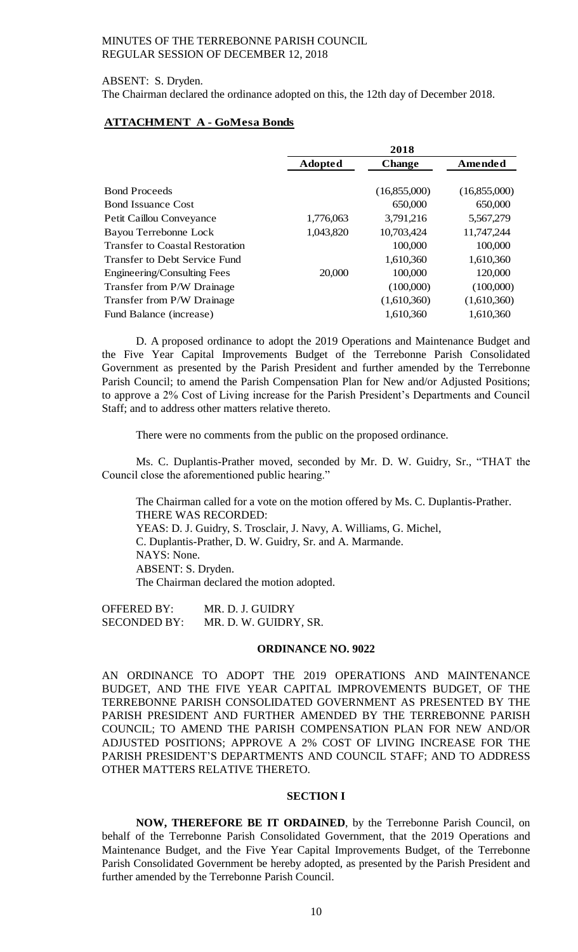# ABSENT: S. Dryden. The Chairman declared the ordinance adopted on this, the 12th day of December 2018.

# **ATTACHMENT A - GoMesa Bonds**

|                                        | 2018           |               |              |
|----------------------------------------|----------------|---------------|--------------|
|                                        | <b>Adopted</b> | <b>Change</b> | Amended      |
|                                        |                |               |              |
| <b>Bond Proceeds</b>                   |                | (16,855,000)  | (16,855,000) |
| <b>Bond Issuance Cost</b>              |                | 650,000       | 650,000      |
| Petit Caillou Conveyance               | 1,776,063      | 3,791,216     | 5,567,279    |
| Bayou Terrebonne Lock                  | 1,043,820      | 10,703,424    | 11,747,244   |
| <b>Transfer to Coastal Restoration</b> |                | 100,000       | 100,000      |
| Transfer to Debt Service Fund          |                | 1,610,360     | 1,610,360    |
| Engineering/Consulting Fees            | 20,000         | 100,000       | 120,000      |
| Transfer from P/W Drainage             |                | (100,000)     | (100,000)    |
| Transfer from P/W Drainage             |                | (1,610,360)   | (1,610,360)  |
| Fund Balance (increase)                |                | 1,610,360     | 1,610,360    |

D. A proposed ordinance to adopt the 2019 Operations and Maintenance Budget and the Five Year Capital Improvements Budget of the Terrebonne Parish Consolidated Government as presented by the Parish President and further amended by the Terrebonne Parish Council; to amend the Parish Compensation Plan for New and/or Adjusted Positions; to approve a 2% Cost of Living increase for the Parish President's Departments and Council Staff; and to address other matters relative thereto.

There were no comments from the public on the proposed ordinance.

Ms. C. Duplantis-Prather moved, seconded by Mr. D. W. Guidry, Sr., "THAT the Council close the aforementioned public hearing."

The Chairman called for a vote on the motion offered by Ms. C. Duplantis-Prather. THERE WAS RECORDED: YEAS: D. J. Guidry, S. Trosclair, J. Navy, A. Williams, G. Michel, C. Duplantis-Prather, D. W. Guidry, Sr. and A. Marmande. NAYS: None. ABSENT: S. Dryden. The Chairman declared the motion adopted.

OFFERED BY: MR. D. J. GUIDRY SECONDED BY: MR. D. W. GUIDRY, SR.

### **ORDINANCE NO. 9022**

AN ORDINANCE TO ADOPT THE 2019 OPERATIONS AND MAINTENANCE BUDGET, AND THE FIVE YEAR CAPITAL IMPROVEMENTS BUDGET, OF THE TERREBONNE PARISH CONSOLIDATED GOVERNMENT AS PRESENTED BY THE PARISH PRESIDENT AND FURTHER AMENDED BY THE TERREBONNE PARISH COUNCIL; TO AMEND THE PARISH COMPENSATION PLAN FOR NEW AND/OR ADJUSTED POSITIONS; APPROVE A 2% COST OF LIVING INCREASE FOR THE PARISH PRESIDENT'S DEPARTMENTS AND COUNCIL STAFF; AND TO ADDRESS OTHER MATTERS RELATIVE THERETO.

## **SECTION I**

**NOW, THEREFORE BE IT ORDAINED**, by the Terrebonne Parish Council, on behalf of the Terrebonne Parish Consolidated Government, that the 2019 Operations and Maintenance Budget, and the Five Year Capital Improvements Budget, of the Terrebonne Parish Consolidated Government be hereby adopted, as presented by the Parish President and further amended by the Terrebonne Parish Council.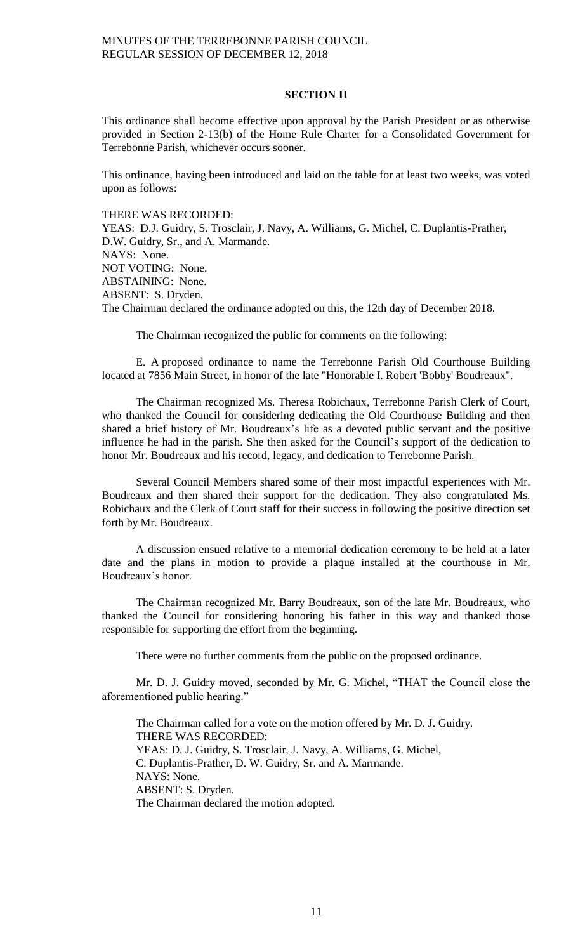### **SECTION II**

This ordinance shall become effective upon approval by the Parish President or as otherwise provided in Section 2-13(b) of the Home Rule Charter for a Consolidated Government for Terrebonne Parish, whichever occurs sooner.

This ordinance, having been introduced and laid on the table for at least two weeks, was voted upon as follows:

THERE WAS RECORDED:

YEAS: D.J. Guidry, S. Trosclair, J. Navy, A. Williams, G. Michel, C. Duplantis-Prather, D.W. Guidry, Sr., and A. Marmande. NAYS: None. NOT VOTING: None. ABSTAINING: None. ABSENT: S. Dryden. The Chairman declared the ordinance adopted on this, the 12th day of December 2018.

The Chairman recognized the public for comments on the following:

E. A proposed ordinance to name the Terrebonne Parish Old Courthouse Building located at 7856 Main Street, in honor of the late "Honorable I. Robert 'Bobby' Boudreaux".

The Chairman recognized Ms. Theresa Robichaux, Terrebonne Parish Clerk of Court, who thanked the Council for considering dedicating the Old Courthouse Building and then shared a brief history of Mr. Boudreaux's life as a devoted public servant and the positive influence he had in the parish. She then asked for the Council's support of the dedication to honor Mr. Boudreaux and his record, legacy, and dedication to Terrebonne Parish.

Several Council Members shared some of their most impactful experiences with Mr. Boudreaux and then shared their support for the dedication. They also congratulated Ms. Robichaux and the Clerk of Court staff for their success in following the positive direction set forth by Mr. Boudreaux.

A discussion ensued relative to a memorial dedication ceremony to be held at a later date and the plans in motion to provide a plaque installed at the courthouse in Mr. Boudreaux's honor.

The Chairman recognized Mr. Barry Boudreaux, son of the late Mr. Boudreaux, who thanked the Council for considering honoring his father in this way and thanked those responsible for supporting the effort from the beginning.

There were no further comments from the public on the proposed ordinance.

Mr. D. J. Guidry moved, seconded by Mr. G. Michel, "THAT the Council close the aforementioned public hearing."

The Chairman called for a vote on the motion offered by Mr. D. J. Guidry. THERE WAS RECORDED: YEAS: D. J. Guidry, S. Trosclair, J. Navy, A. Williams, G. Michel, C. Duplantis-Prather, D. W. Guidry, Sr. and A. Marmande. NAYS: None. ABSENT: S. Dryden. The Chairman declared the motion adopted.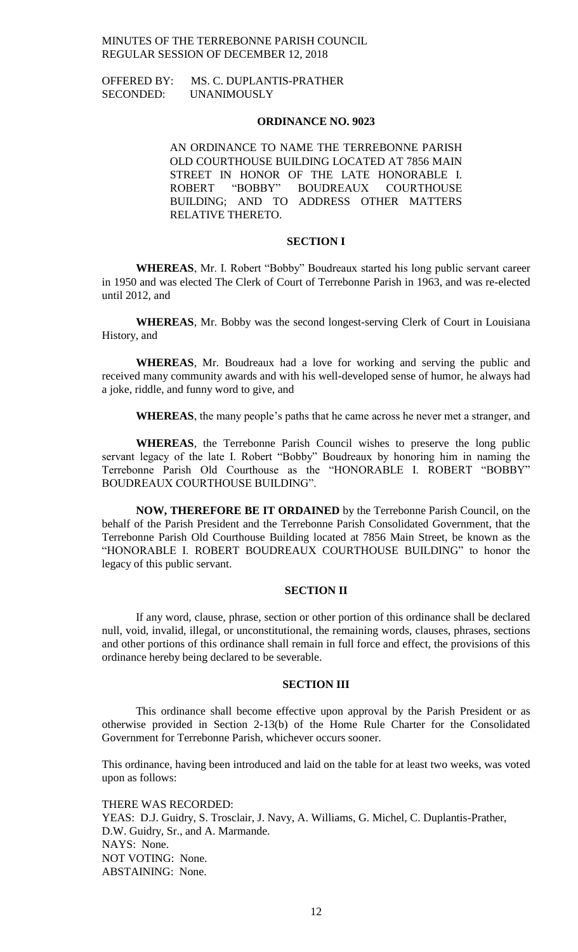OFFERED BY: MS. C. DUPLANTIS-PRATHER SECONDED: UNANIMOUSLY

#### **ORDINANCE NO. 9023**

AN ORDINANCE TO NAME THE TERREBONNE PARISH OLD COURTHOUSE BUILDING LOCATED AT 7856 MAIN STREET IN HONOR OF THE LATE HONORABLE I. ROBERT "BOBBY" BOUDREAUX COURTHOUSE BUILDING; AND TO ADDRESS OTHER MATTERS RELATIVE THERETO.

### **SECTION I**

**WHEREAS**, Mr. I. Robert "Bobby" Boudreaux started his long public servant career in 1950 and was elected The Clerk of Court of Terrebonne Parish in 1963, and was re-elected until 2012, and

**WHEREAS**, Mr. Bobby was the second longest-serving Clerk of Court in Louisiana History, and

**WHEREAS**, Mr. Boudreaux had a love for working and serving the public and received many community awards and with his well-developed sense of humor, he always had a joke, riddle, and funny word to give, and

**WHEREAS**, the many people's paths that he came across he never met a stranger, and

**WHEREAS**, the Terrebonne Parish Council wishes to preserve the long public servant legacy of the late I. Robert "Bobby" Boudreaux by honoring him in naming the Terrebonne Parish Old Courthouse as the "HONORABLE I. ROBERT "BOBBY" BOUDREAUX COURTHOUSE BUILDING".

**NOW, THEREFORE BE IT ORDAINED** by the Terrebonne Parish Council, on the behalf of the Parish President and the Terrebonne Parish Consolidated Government, that the Terrebonne Parish Old Courthouse Building located at 7856 Main Street, be known as the "HONORABLE I. ROBERT BOUDREAUX COURTHOUSE BUILDING" to honor the legacy of this public servant.

# **SECTION II**

If any word, clause, phrase, section or other portion of this ordinance shall be declared null, void, invalid, illegal, or unconstitutional, the remaining words, clauses, phrases, sections and other portions of this ordinance shall remain in full force and effect, the provisions of this ordinance hereby being declared to be severable.

#### **SECTION III**

This ordinance shall become effective upon approval by the Parish President or as otherwise provided in Section 2-13(b) of the Home Rule Charter for the Consolidated Government for Terrebonne Parish, whichever occurs sooner.

This ordinance, having been introduced and laid on the table for at least two weeks, was voted upon as follows:

THERE WAS RECORDED: YEAS: D.J. Guidry, S. Trosclair, J. Navy, A. Williams, G. Michel, C. Duplantis-Prather, D.W. Guidry, Sr., and A. Marmande. NAYS: None. NOT VOTING: None. ABSTAINING: None.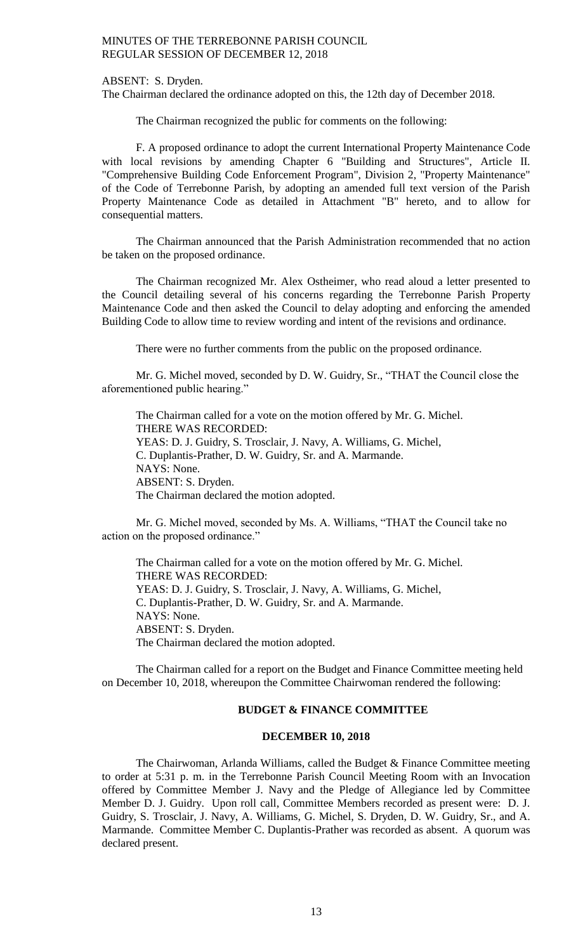ABSENT: S. Dryden.

The Chairman declared the ordinance adopted on this, the 12th day of December 2018.

The Chairman recognized the public for comments on the following:

F. A proposed ordinance to adopt the current International Property Maintenance Code with local revisions by amending Chapter 6 "Building and Structures", Article II. "Comprehensive Building Code Enforcement Program", Division 2, "Property Maintenance" of the Code of Terrebonne Parish, by adopting an amended full text version of the Parish Property Maintenance Code as detailed in Attachment "B" hereto, and to allow for consequential matters.

The Chairman announced that the Parish Administration recommended that no action be taken on the proposed ordinance.

The Chairman recognized Mr. Alex Ostheimer, who read aloud a letter presented to the Council detailing several of his concerns regarding the Terrebonne Parish Property Maintenance Code and then asked the Council to delay adopting and enforcing the amended Building Code to allow time to review wording and intent of the revisions and ordinance.

There were no further comments from the public on the proposed ordinance.

Mr. G. Michel moved, seconded by D. W. Guidry, Sr., "THAT the Council close the aforementioned public hearing."

The Chairman called for a vote on the motion offered by Mr. G. Michel. THERE WAS RECORDED: YEAS: D. J. Guidry, S. Trosclair, J. Navy, A. Williams, G. Michel, C. Duplantis-Prather, D. W. Guidry, Sr. and A. Marmande. NAYS: None. ABSENT: S. Dryden. The Chairman declared the motion adopted.

Mr. G. Michel moved, seconded by Ms. A. Williams, "THAT the Council take no action on the proposed ordinance."

The Chairman called for a vote on the motion offered by Mr. G. Michel. THERE WAS RECORDED: YEAS: D. J. Guidry, S. Trosclair, J. Navy, A. Williams, G. Michel, C. Duplantis-Prather, D. W. Guidry, Sr. and A. Marmande. NAYS: None. ABSENT: S. Dryden. The Chairman declared the motion adopted.

The Chairman called for a report on the Budget and Finance Committee meeting held on December 10, 2018, whereupon the Committee Chairwoman rendered the following:

# **BUDGET & FINANCE COMMITTEE**

### **DECEMBER 10, 2018**

The Chairwoman, Arlanda Williams, called the Budget & Finance Committee meeting to order at 5:31 p. m. in the Terrebonne Parish Council Meeting Room with an Invocation offered by Committee Member J. Navy and the Pledge of Allegiance led by Committee Member D. J. Guidry. Upon roll call, Committee Members recorded as present were: D. J. Guidry, S. Trosclair, J. Navy, A. Williams, G. Michel, S. Dryden, D. W. Guidry, Sr., and A. Marmande. Committee Member C. Duplantis-Prather was recorded as absent. A quorum was declared present.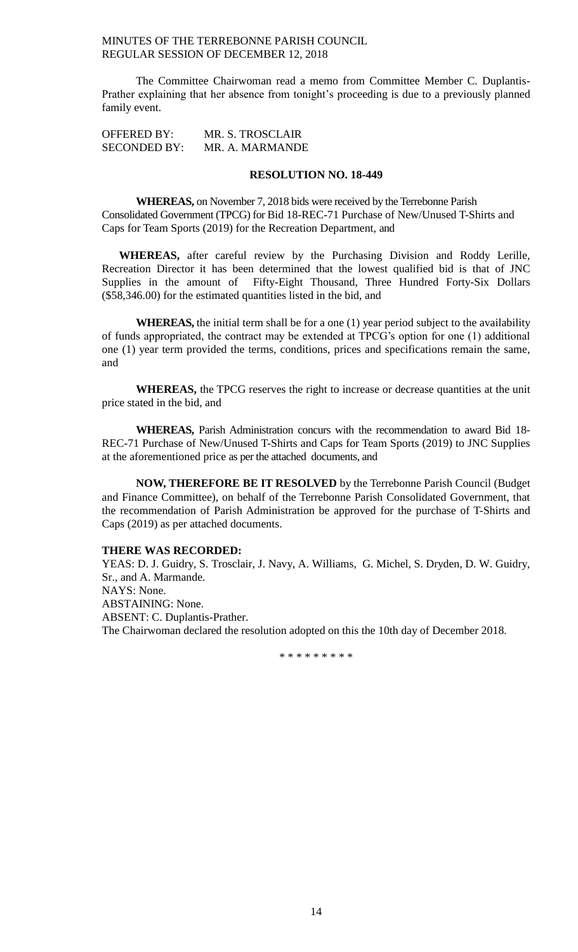The Committee Chairwoman read a memo from Committee Member C. Duplantis-Prather explaining that her absence from tonight's proceeding is due to a previously planned family event.

OFFERED BY: MR. S. TROSCLAIR SECONDED BY: MR. A. MARMANDE

#### **RESOLUTION NO. 18-449**

**WHEREAS,** on November 7, 2018 bids were received by the Terrebonne Parish Consolidated Government (TPCG) for Bid 18-REC-71 Purchase of New/Unused T-Shirts and Caps for Team Sports (2019) for the Recreation Department, and

**WHEREAS,** after careful review by the Purchasing Division and Roddy Lerille, Recreation Director it has been determined that the lowest qualified bid is that of JNC Supplies in the amount of Fifty-Eight Thousand, Three Hundred Forty-Six Dollars (\$58,346.00) for the estimated quantities listed in the bid, and

**WHEREAS,** the initial term shall be for a one (1) year period subject to the availability of funds appropriated, the contract may be extended at TPCG's option for one (1) additional one (1) year term provided the terms, conditions, prices and specifications remain the same, and

**WHEREAS,** the TPCG reserves the right to increase or decrease quantities at the unit price stated in the bid, and

**WHEREAS,** Parish Administration concurs with the recommendation to award Bid 18- REC-71 Purchase of New/Unused T-Shirts and Caps for Team Sports (2019) to JNC Supplies at the aforementioned price as per the attached documents, and

**NOW, THEREFORE BE IT RESOLVED** by the Terrebonne Parish Council (Budget and Finance Committee), on behalf of the Terrebonne Parish Consolidated Government, that the recommendation of Parish Administration be approved for the purchase of T-Shirts and Caps (2019) as per attached documents.

### **THERE WAS RECORDED:**

YEAS: D. J. Guidry, S. Trosclair, J. Navy, A. Williams, G. Michel, S. Dryden, D. W. Guidry, Sr., and A. Marmande. NAYS: None. ABSTAINING: None. ABSENT: C. Duplantis-Prather. The Chairwoman declared the resolution adopted on this the 10th day of December 2018.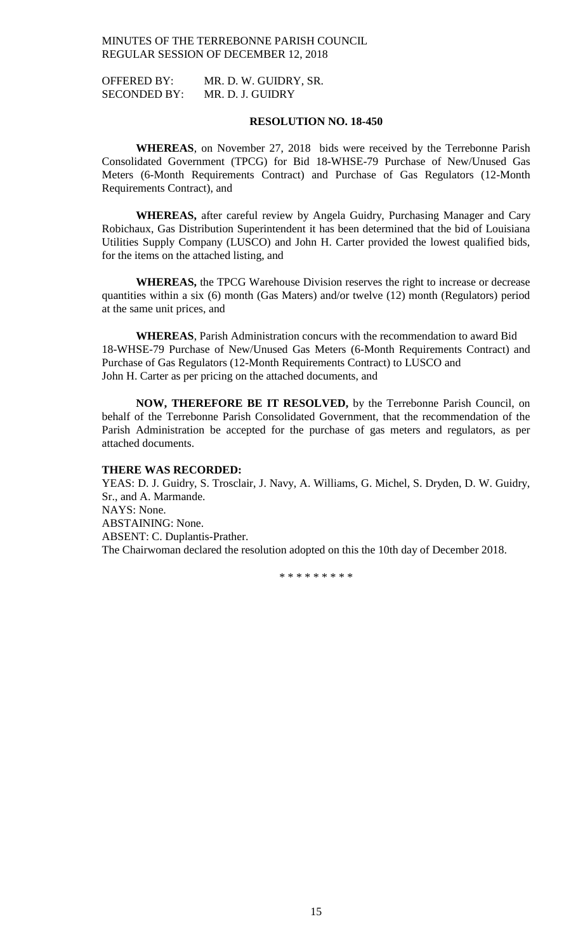OFFERED BY: MR. D. W. GUIDRY, SR. SECONDED BY: MR. D. J. GUIDRY

#### **RESOLUTION NO. 18-450**

**WHEREAS**, on November 27, 2018 bids were received by the Terrebonne Parish Consolidated Government (TPCG) for Bid 18-WHSE-79 Purchase of New/Unused Gas Meters (6-Month Requirements Contract) and Purchase of Gas Regulators (12-Month Requirements Contract), and

**WHEREAS,** after careful review by Angela Guidry, Purchasing Manager and Cary Robichaux, Gas Distribution Superintendent it has been determined that the bid of Louisiana Utilities Supply Company (LUSCO) and John H. Carter provided the lowest qualified bids, for the items on the attached listing, and

**WHEREAS,** the TPCG Warehouse Division reserves the right to increase or decrease quantities within a six (6) month (Gas Maters) and/or twelve (12) month (Regulators) period at the same unit prices, and

**WHEREAS**, Parish Administration concurs with the recommendation to award Bid 18-WHSE-79 Purchase of New/Unused Gas Meters (6-Month Requirements Contract) and Purchase of Gas Regulators (12-Month Requirements Contract) to LUSCO and John H. Carter as per pricing on the attached documents, and

**NOW, THEREFORE BE IT RESOLVED,** by the Terrebonne Parish Council, on behalf of the Terrebonne Parish Consolidated Government, that the recommendation of the Parish Administration be accepted for the purchase of gas meters and regulators, as per attached documents.

### **THERE WAS RECORDED:**

YEAS: D. J. Guidry, S. Trosclair, J. Navy, A. Williams, G. Michel, S. Dryden, D. W. Guidry, Sr., and A. Marmande. NAYS: None. ABSTAINING: None. ABSENT: C. Duplantis-Prather. The Chairwoman declared the resolution adopted on this the 10th day of December 2018.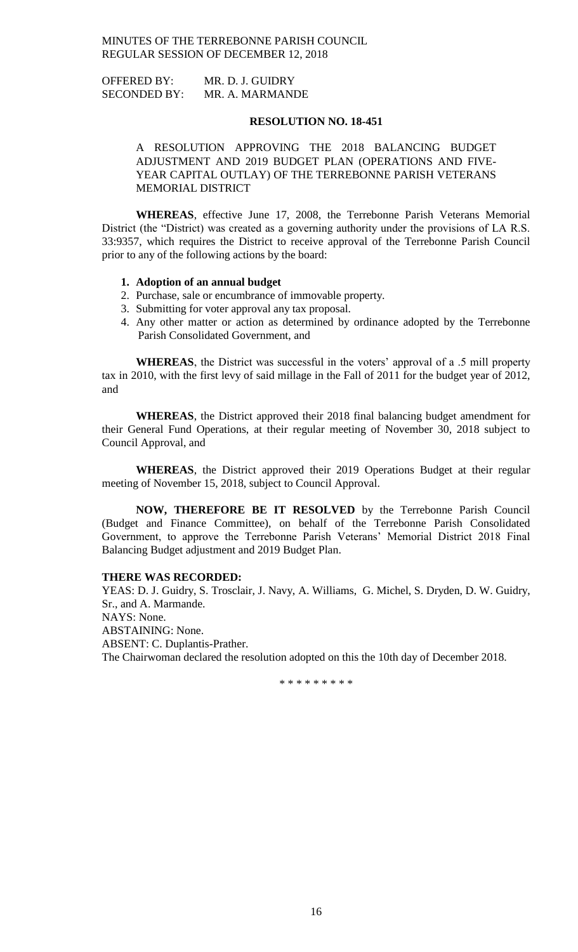OFFERED BY: MR. D. J. GUIDRY SECONDED BY: MR. A. MARMANDE

#### **RESOLUTION NO. 18-451**

A RESOLUTION APPROVING THE 2018 BALANCING BUDGET ADJUSTMENT AND 2019 BUDGET PLAN (OPERATIONS AND FIVE-YEAR CAPITAL OUTLAY) OF THE TERREBONNE PARISH VETERANS MEMORIAL DISTRICT

**WHEREAS**, effective June 17, 2008, the Terrebonne Parish Veterans Memorial District (the "District) was created as a governing authority under the provisions of LA R.S. 33:9357, which requires the District to receive approval of the Terrebonne Parish Council prior to any of the following actions by the board:

#### **1. Adoption of an annual budget**

- 2. Purchase, sale or encumbrance of immovable property.
- 3. Submitting for voter approval any tax proposal.
- 4. Any other matter or action as determined by ordinance adopted by the Terrebonne Parish Consolidated Government, and

**WHEREAS**, the District was successful in the voters' approval of a .5 mill property tax in 2010, with the first levy of said millage in the Fall of 2011 for the budget year of 2012, and

**WHEREAS**, the District approved their 2018 final balancing budget amendment for their General Fund Operations, at their regular meeting of November 30, 2018 subject to Council Approval, and

**WHEREAS**, the District approved their 2019 Operations Budget at their regular meeting of November 15, 2018, subject to Council Approval.

**NOW, THEREFORE BE IT RESOLVED** by the Terrebonne Parish Council (Budget and Finance Committee), on behalf of the Terrebonne Parish Consolidated Government, to approve the Terrebonne Parish Veterans' Memorial District 2018 Final Balancing Budget adjustment and 2019 Budget Plan.

# **THERE WAS RECORDED:**

YEAS: D. J. Guidry, S. Trosclair, J. Navy, A. Williams, G. Michel, S. Dryden, D. W. Guidry, Sr., and A. Marmande. NAYS: None.

ABSTAINING: None.

ABSENT: C. Duplantis-Prather.

The Chairwoman declared the resolution adopted on this the 10th day of December 2018.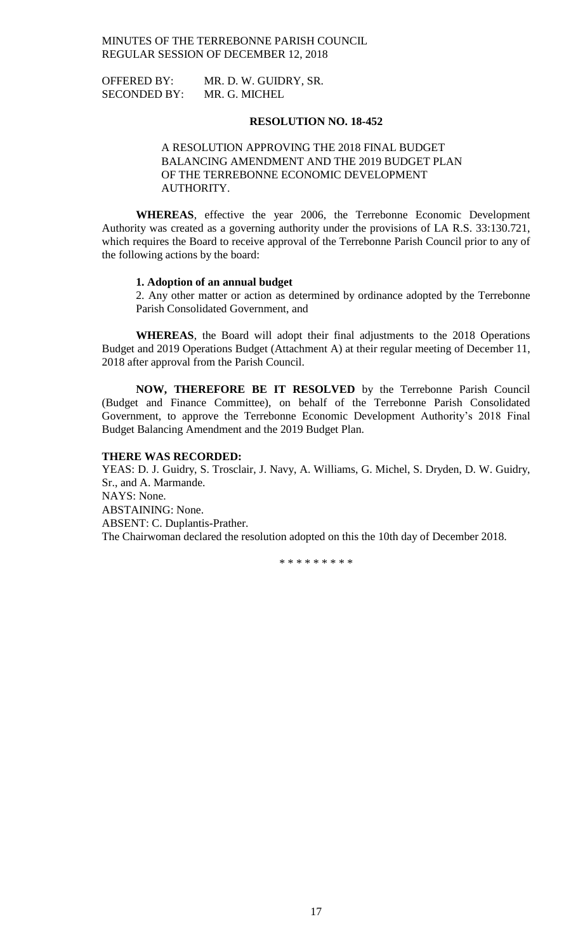OFFERED BY: MR. D. W. GUIDRY, SR. SECONDED BY: MR. G. MICHEL

# **RESOLUTION NO. 18-452**

A RESOLUTION APPROVING THE 2018 FINAL BUDGET BALANCING AMENDMENT AND THE 2019 BUDGET PLAN OF THE TERREBONNE ECONOMIC DEVELOPMENT AUTHORITY.

**WHEREAS**, effective the year 2006, the Terrebonne Economic Development Authority was created as a governing authority under the provisions of LA R.S. 33:130.721, which requires the Board to receive approval of the Terrebonne Parish Council prior to any of the following actions by the board:

#### **1. Adoption of an annual budget**

2. Any other matter or action as determined by ordinance adopted by the Terrebonne Parish Consolidated Government, and

**WHEREAS**, the Board will adopt their final adjustments to the 2018 Operations Budget and 2019 Operations Budget (Attachment A) at their regular meeting of December 11, 2018 after approval from the Parish Council.

**NOW, THEREFORE BE IT RESOLVED** by the Terrebonne Parish Council (Budget and Finance Committee), on behalf of the Terrebonne Parish Consolidated Government, to approve the Terrebonne Economic Development Authority's 2018 Final Budget Balancing Amendment and the 2019 Budget Plan.

#### **THERE WAS RECORDED:**

YEAS: D. J. Guidry, S. Trosclair, J. Navy, A. Williams, G. Michel, S. Dryden, D. W. Guidry, Sr., and A. Marmande. NAYS: None. ABSTAINING: None. ABSENT: C. Duplantis-Prather. The Chairwoman declared the resolution adopted on this the 10th day of December 2018.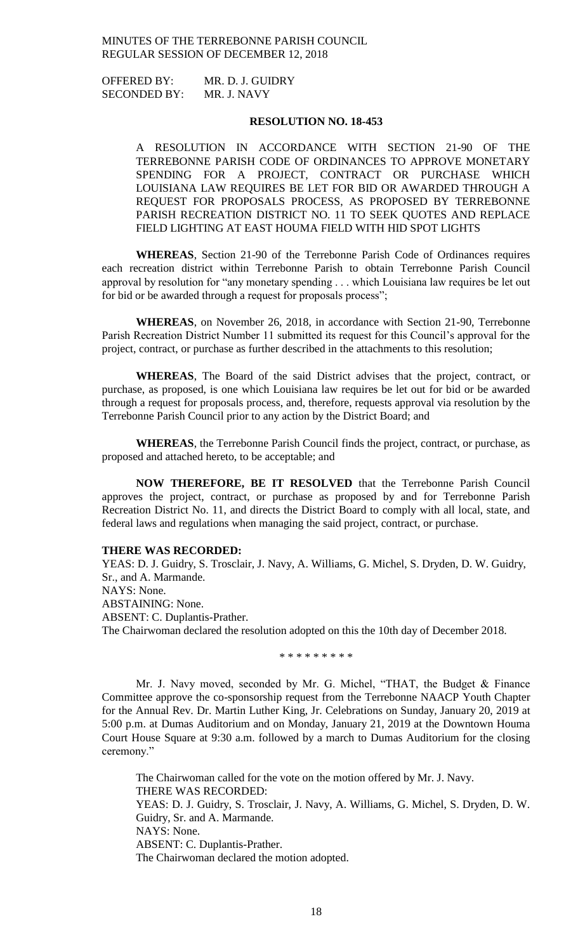OFFERED BY: MR. D. J. GUIDRY SECONDED BY: MR. J. NAVY

### **RESOLUTION NO. 18-453**

A RESOLUTION IN ACCORDANCE WITH SECTION 21-90 OF THE TERREBONNE PARISH CODE OF ORDINANCES TO APPROVE MONETARY SPENDING FOR A PROJECT, CONTRACT OR PURCHASE WHICH LOUISIANA LAW REQUIRES BE LET FOR BID OR AWARDED THROUGH A REQUEST FOR PROPOSALS PROCESS, AS PROPOSED BY TERREBONNE PARISH RECREATION DISTRICT NO. 11 TO SEEK QUOTES AND REPLACE FIELD LIGHTING AT EAST HOUMA FIELD WITH HID SPOT LIGHTS

**WHEREAS**, Section 21-90 of the Terrebonne Parish Code of Ordinances requires each recreation district within Terrebonne Parish to obtain Terrebonne Parish Council approval by resolution for "any monetary spending . . . which Louisiana law requires be let out for bid or be awarded through a request for proposals process";

**WHEREAS**, on November 26, 2018, in accordance with Section 21-90, Terrebonne Parish Recreation District Number 11 submitted its request for this Council's approval for the project, contract, or purchase as further described in the attachments to this resolution;

**WHEREAS**, The Board of the said District advises that the project, contract, or purchase, as proposed, is one which Louisiana law requires be let out for bid or be awarded through a request for proposals process, and, therefore, requests approval via resolution by the Terrebonne Parish Council prior to any action by the District Board; and

**WHEREAS**, the Terrebonne Parish Council finds the project, contract, or purchase, as proposed and attached hereto, to be acceptable; and

**NOW THEREFORE, BE IT RESOLVED** that the Terrebonne Parish Council approves the project, contract, or purchase as proposed by and for Terrebonne Parish Recreation District No. 11, and directs the District Board to comply with all local, state, and federal laws and regulations when managing the said project, contract, or purchase.

# **THERE WAS RECORDED:**

YEAS: D. J. Guidry, S. Trosclair, J. Navy, A. Williams, G. Michel, S. Dryden, D. W. Guidry, Sr., and A. Marmande. NAYS: None. ABSTAINING: None. ABSENT: C. Duplantis-Prather. The Chairwoman declared the resolution adopted on this the 10th day of December 2018.

\* \* \* \* \* \* \* \* \*

Mr. J. Navy moved, seconded by Mr. G. Michel, "THAT, the Budget & Finance Committee approve the co-sponsorship request from the Terrebonne NAACP Youth Chapter for the Annual Rev. Dr. Martin Luther King, Jr. Celebrations on Sunday, January 20, 2019 at 5:00 p.m. at Dumas Auditorium and on Monday, January 21, 2019 at the Downtown Houma Court House Square at 9:30 a.m. followed by a march to Dumas Auditorium for the closing ceremony."

The Chairwoman called for the vote on the motion offered by Mr. J. Navy. THERE WAS RECORDED: YEAS: D. J. Guidry, S. Trosclair, J. Navy, A. Williams, G. Michel, S. Dryden, D. W. Guidry, Sr. and A. Marmande. NAYS: None. ABSENT: C. Duplantis-Prather. The Chairwoman declared the motion adopted.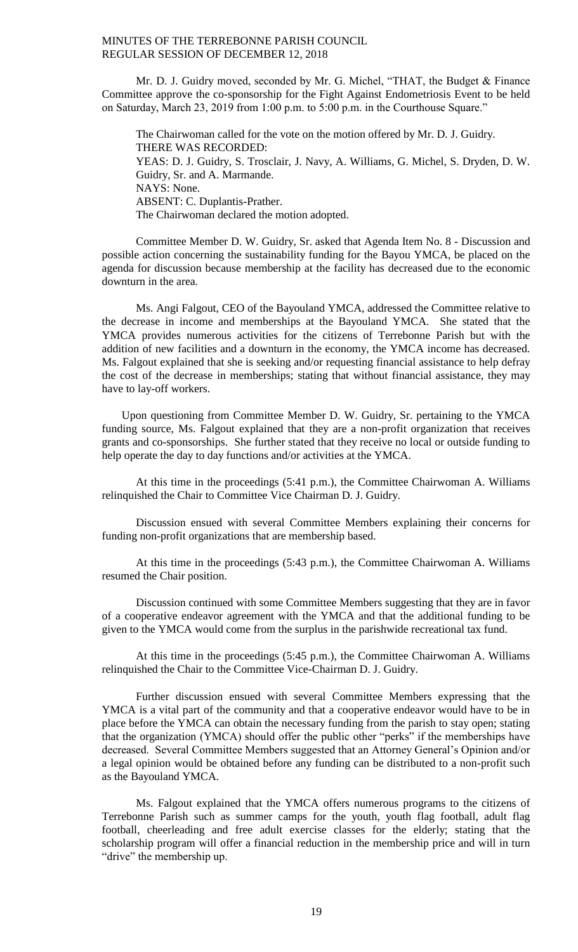Mr. D. J. Guidry moved, seconded by Mr. G. Michel, "THAT, the Budget & Finance Committee approve the co-sponsorship for the Fight Against Endometriosis Event to be held on Saturday, March 23, 2019 from 1:00 p.m. to 5:00 p.m. in the Courthouse Square."

The Chairwoman called for the vote on the motion offered by Mr. D. J. Guidry. THERE WAS RECORDED: YEAS: D. J. Guidry, S. Trosclair, J. Navy, A. Williams, G. Michel, S. Dryden, D. W. Guidry, Sr. and A. Marmande. NAYS: None. ABSENT: C. Duplantis-Prather. The Chairwoman declared the motion adopted.

Committee Member D. W. Guidry, Sr. asked that Agenda Item No. 8 - Discussion and possible action concerning the sustainability funding for the Bayou YMCA, be placed on the agenda for discussion because membership at the facility has decreased due to the economic downturn in the area.

Ms. Angi Falgout, CEO of the Bayouland YMCA, addressed the Committee relative to the decrease in income and memberships at the Bayouland YMCA. She stated that the YMCA provides numerous activities for the citizens of Terrebonne Parish but with the addition of new facilities and a downturn in the economy, the YMCA income has decreased. Ms. Falgout explained that she is seeking and/or requesting financial assistance to help defray the cost of the decrease in memberships; stating that without financial assistance, they may have to lay-off workers.

 Upon questioning from Committee Member D. W. Guidry, Sr. pertaining to the YMCA funding source, Ms. Falgout explained that they are a non-profit organization that receives grants and co-sponsorships. She further stated that they receive no local or outside funding to help operate the day to day functions and/or activities at the YMCA.

At this time in the proceedings (5:41 p.m.), the Committee Chairwoman A. Williams relinquished the Chair to Committee Vice Chairman D. J. Guidry.

Discussion ensued with several Committee Members explaining their concerns for funding non-profit organizations that are membership based.

At this time in the proceedings (5:43 p.m.), the Committee Chairwoman A. Williams resumed the Chair position.

Discussion continued with some Committee Members suggesting that they are in favor of a cooperative endeavor agreement with the YMCA and that the additional funding to be given to the YMCA would come from the surplus in the parishwide recreational tax fund.

At this time in the proceedings (5:45 p.m.), the Committee Chairwoman A. Williams relinquished the Chair to the Committee Vice-Chairman D. J. Guidry.

Further discussion ensued with several Committee Members expressing that the YMCA is a vital part of the community and that a cooperative endeavor would have to be in place before the YMCA can obtain the necessary funding from the parish to stay open; stating that the organization (YMCA) should offer the public other "perks" if the memberships have decreased. Several Committee Members suggested that an Attorney General's Opinion and/or a legal opinion would be obtained before any funding can be distributed to a non-profit such as the Bayouland YMCA.

Ms. Falgout explained that the YMCA offers numerous programs to the citizens of Terrebonne Parish such as summer camps for the youth, youth flag football, adult flag football, cheerleading and free adult exercise classes for the elderly; stating that the scholarship program will offer a financial reduction in the membership price and will in turn "drive" the membership up.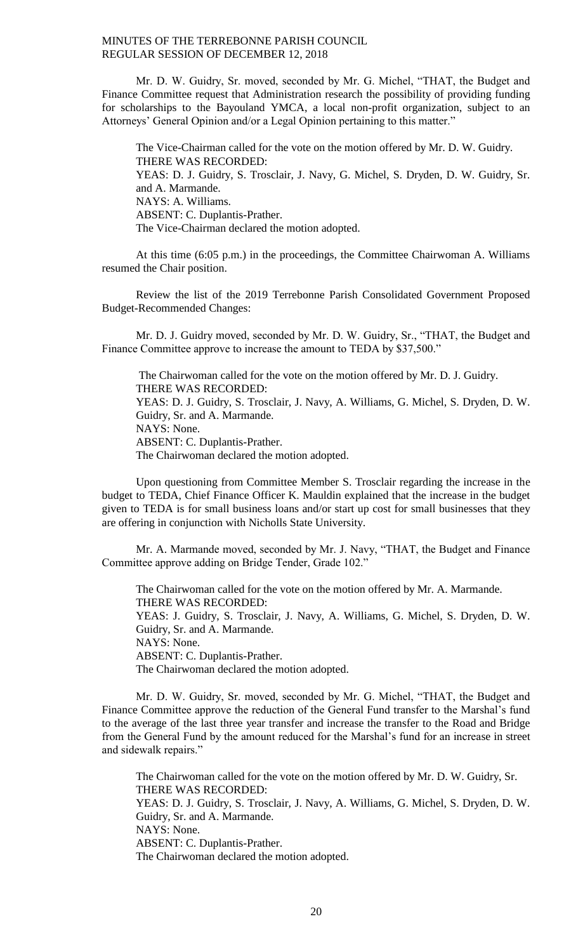Mr. D. W. Guidry, Sr. moved, seconded by Mr. G. Michel, "THAT, the Budget and Finance Committee request that Administration research the possibility of providing funding for scholarships to the Bayouland YMCA, a local non-profit organization, subject to an Attorneys' General Opinion and/or a Legal Opinion pertaining to this matter."

The Vice-Chairman called for the vote on the motion offered by Mr. D. W. Guidry. THERE WAS RECORDED: YEAS: D. J. Guidry, S. Trosclair, J. Navy, G. Michel, S. Dryden, D. W. Guidry, Sr. and A. Marmande. NAYS: A. Williams. ABSENT: C. Duplantis-Prather. The Vice-Chairman declared the motion adopted.

At this time (6:05 p.m.) in the proceedings, the Committee Chairwoman A. Williams resumed the Chair position.

Review the list of the 2019 Terrebonne Parish Consolidated Government Proposed Budget-Recommended Changes:

Mr. D. J. Guidry moved, seconded by Mr. D. W. Guidry, Sr., "THAT, the Budget and Finance Committee approve to increase the amount to TEDA by \$37,500."

The Chairwoman called for the vote on the motion offered by Mr. D. J. Guidry. THERE WAS RECORDED: YEAS: D. J. Guidry, S. Trosclair, J. Navy, A. Williams, G. Michel, S. Dryden, D. W. Guidry, Sr. and A. Marmande. NAYS: None. ABSENT: C. Duplantis-Prather. The Chairwoman declared the motion adopted.

Upon questioning from Committee Member S. Trosclair regarding the increase in the budget to TEDA, Chief Finance Officer K. Mauldin explained that the increase in the budget given to TEDA is for small business loans and/or start up cost for small businesses that they are offering in conjunction with Nicholls State University.

Mr. A. Marmande moved, seconded by Mr. J. Navy, "THAT, the Budget and Finance Committee approve adding on Bridge Tender, Grade 102."

The Chairwoman called for the vote on the motion offered by Mr. A. Marmande. THERE WAS RECORDED: YEAS: J. Guidry, S. Trosclair, J. Navy, A. Williams, G. Michel, S. Dryden, D. W. Guidry, Sr. and A. Marmande. NAYS: None. ABSENT: C. Duplantis-Prather. The Chairwoman declared the motion adopted.

Mr. D. W. Guidry, Sr. moved, seconded by Mr. G. Michel, "THAT, the Budget and Finance Committee approve the reduction of the General Fund transfer to the Marshal's fund to the average of the last three year transfer and increase the transfer to the Road and Bridge from the General Fund by the amount reduced for the Marshal's fund for an increase in street and sidewalk repairs."

The Chairwoman called for the vote on the motion offered by Mr. D. W. Guidry, Sr. THERE WAS RECORDED: YEAS: D. J. Guidry, S. Trosclair, J. Navy, A. Williams, G. Michel, S. Dryden, D. W. Guidry, Sr. and A. Marmande. NAYS: None. ABSENT: C. Duplantis-Prather. The Chairwoman declared the motion adopted.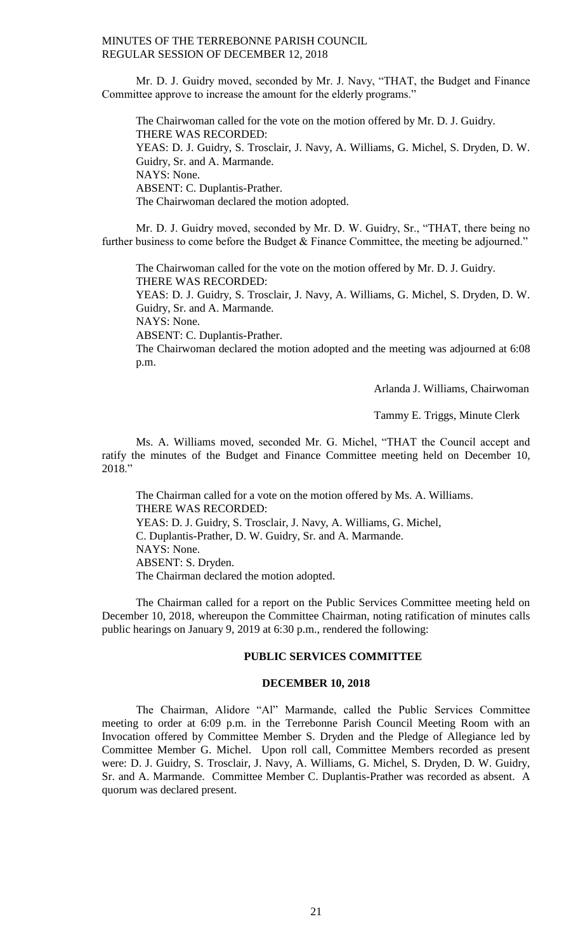Mr. D. J. Guidry moved, seconded by Mr. J. Navy, "THAT, the Budget and Finance Committee approve to increase the amount for the elderly programs."

The Chairwoman called for the vote on the motion offered by Mr. D. J. Guidry. THERE WAS RECORDED: YEAS: D. J. Guidry, S. Trosclair, J. Navy, A. Williams, G. Michel, S. Dryden, D. W. Guidry, Sr. and A. Marmande. NAYS: None. ABSENT: C. Duplantis-Prather. The Chairwoman declared the motion adopted.

Mr. D. J. Guidry moved, seconded by Mr. D. W. Guidry, Sr., "THAT, there being no further business to come before the Budget & Finance Committee, the meeting be adjourned."

The Chairwoman called for the vote on the motion offered by Mr. D. J. Guidry. THERE WAS RECORDED:

YEAS: D. J. Guidry, S. Trosclair, J. Navy, A. Williams, G. Michel, S. Dryden, D. W. Guidry, Sr. and A. Marmande.

NAYS: None.

ABSENT: C. Duplantis-Prather.

The Chairwoman declared the motion adopted and the meeting was adjourned at 6:08 p.m.

Arlanda J. Williams, Chairwoman

Tammy E. Triggs, Minute Clerk

Ms. A. Williams moved, seconded Mr. G. Michel, "THAT the Council accept and ratify the minutes of the Budget and Finance Committee meeting held on December 10, 2018."

The Chairman called for a vote on the motion offered by Ms. A. Williams. THERE WAS RECORDED: YEAS: D. J. Guidry, S. Trosclair, J. Navy, A. Williams, G. Michel, C. Duplantis-Prather, D. W. Guidry, Sr. and A. Marmande. NAYS: None. ABSENT: S. Dryden. The Chairman declared the motion adopted.

The Chairman called for a report on the Public Services Committee meeting held on December 10, 2018, whereupon the Committee Chairman, noting ratification of minutes calls public hearings on January 9, 2019 at 6:30 p.m., rendered the following:

# **PUBLIC SERVICES COMMITTEE**

### **DECEMBER 10, 2018**

The Chairman, Alidore "Al" Marmande, called the Public Services Committee meeting to order at 6:09 p.m. in the Terrebonne Parish Council Meeting Room with an Invocation offered by Committee Member S. Dryden and the Pledge of Allegiance led by Committee Member G. Michel. Upon roll call, Committee Members recorded as present were: D. J. Guidry, S. Trosclair, J. Navy, A. Williams, G. Michel, S. Dryden, D. W. Guidry, Sr. and A. Marmande. Committee Member C. Duplantis-Prather was recorded as absent. A quorum was declared present.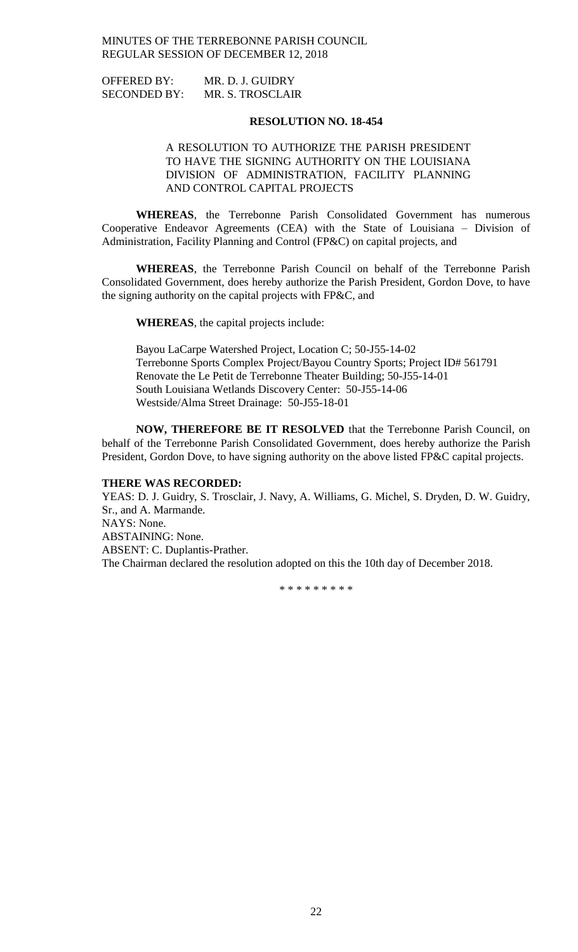| <b>OFFERED BY:</b>  | MR. D. J. GUIDRY |
|---------------------|------------------|
| <b>SECONDED BY:</b> | MR. S. TROSCLAIR |

#### **RESOLUTION NO. 18-454**

# A RESOLUTION TO AUTHORIZE THE PARISH PRESIDENT TO HAVE THE SIGNING AUTHORITY ON THE LOUISIANA DIVISION OF ADMINISTRATION, FACILITY PLANNING AND CONTROL CAPITAL PROJECTS

**WHEREAS**, the Terrebonne Parish Consolidated Government has numerous Cooperative Endeavor Agreements (CEA) with the State of Louisiana – Division of Administration, Facility Planning and Control (FP&C) on capital projects, and

**WHEREAS**, the Terrebonne Parish Council on behalf of the Terrebonne Parish Consolidated Government, does hereby authorize the Parish President, Gordon Dove, to have the signing authority on the capital projects with FP&C, and

**WHEREAS**, the capital projects include:

Bayou LaCarpe Watershed Project, Location C; 50-J55-14-02 Terrebonne Sports Complex Project/Bayou Country Sports; Project ID# 561791 Renovate the Le Petit de Terrebonne Theater Building; 50-J55-14-01 South Louisiana Wetlands Discovery Center: 50-J55-14-06 Westside/Alma Street Drainage: 50-J55-18-01

**NOW, THEREFORE BE IT RESOLVED** that the Terrebonne Parish Council, on behalf of the Terrebonne Parish Consolidated Government, does hereby authorize the Parish President, Gordon Dove, to have signing authority on the above listed FP&C capital projects.

#### **THERE WAS RECORDED:**

YEAS: D. J. Guidry, S. Trosclair, J. Navy, A. Williams, G. Michel, S. Dryden, D. W. Guidry, Sr., and A. Marmande. NAYS: None. ABSTAINING: None. ABSENT: C. Duplantis-Prather. The Chairman declared the resolution adopted on this the 10th day of December 2018.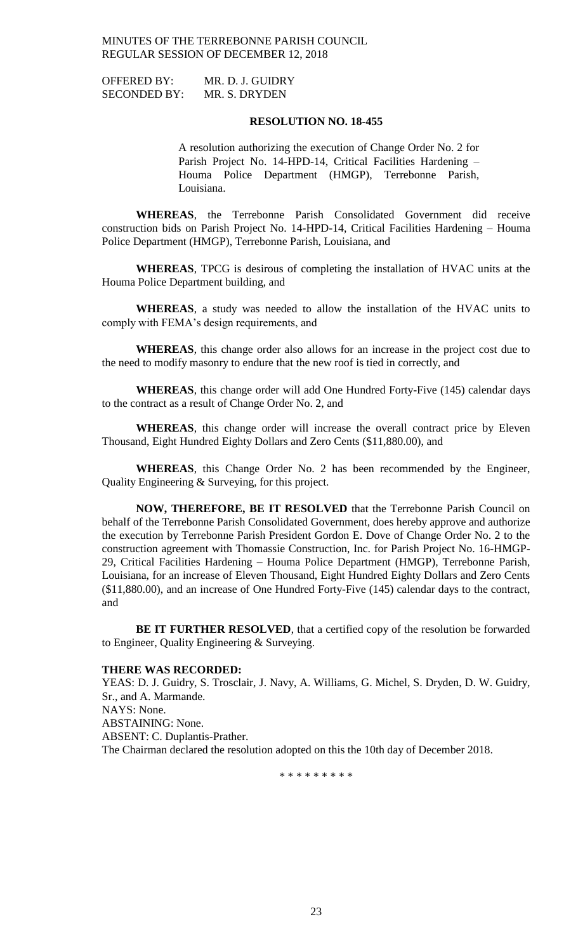| <b>OFFERED BY:</b>  | MR. D. J. GUIDRY |
|---------------------|------------------|
| <b>SECONDED BY:</b> | MR. S. DRYDEN    |

#### **RESOLUTION NO. 18-455**

A resolution authorizing the execution of Change Order No. 2 for Parish Project No. 14-HPD-14, Critical Facilities Hardening – Houma Police Department (HMGP), Terrebonne Parish, Louisiana.

**WHEREAS**, the Terrebonne Parish Consolidated Government did receive construction bids on Parish Project No. 14-HPD-14, Critical Facilities Hardening – Houma Police Department (HMGP), Terrebonne Parish, Louisiana, and

**WHEREAS**, TPCG is desirous of completing the installation of HVAC units at the Houma Police Department building, and

**WHEREAS**, a study was needed to allow the installation of the HVAC units to comply with FEMA's design requirements, and

**WHEREAS**, this change order also allows for an increase in the project cost due to the need to modify masonry to endure that the new roof is tied in correctly, and

**WHEREAS**, this change order will add One Hundred Forty-Five (145) calendar days to the contract as a result of Change Order No. 2, and

**WHEREAS**, this change order will increase the overall contract price by Eleven Thousand, Eight Hundred Eighty Dollars and Zero Cents (\$11,880.00), and

**WHEREAS**, this Change Order No. 2 has been recommended by the Engineer, Quality Engineering & Surveying, for this project.

**NOW, THEREFORE, BE IT RESOLVED** that the Terrebonne Parish Council on behalf of the Terrebonne Parish Consolidated Government, does hereby approve and authorize the execution by Terrebonne Parish President Gordon E. Dove of Change Order No. 2 to the construction agreement with Thomassie Construction, Inc. for Parish Project No. 16-HMGP-29, Critical Facilities Hardening – Houma Police Department (HMGP), Terrebonne Parish, Louisiana, for an increase of Eleven Thousand, Eight Hundred Eighty Dollars and Zero Cents (\$11,880.00), and an increase of One Hundred Forty-Five (145) calendar days to the contract, and

BE IT FURTHER RESOLVED, that a certified copy of the resolution be forwarded to Engineer, Quality Engineering & Surveying.

### **THERE WAS RECORDED:**

YEAS: D. J. Guidry, S. Trosclair, J. Navy, A. Williams, G. Michel, S. Dryden, D. W. Guidry, Sr., and A. Marmande. NAYS: None. ABSTAINING: None. ABSENT: C. Duplantis-Prather. The Chairman declared the resolution adopted on this the 10th day of December 2018.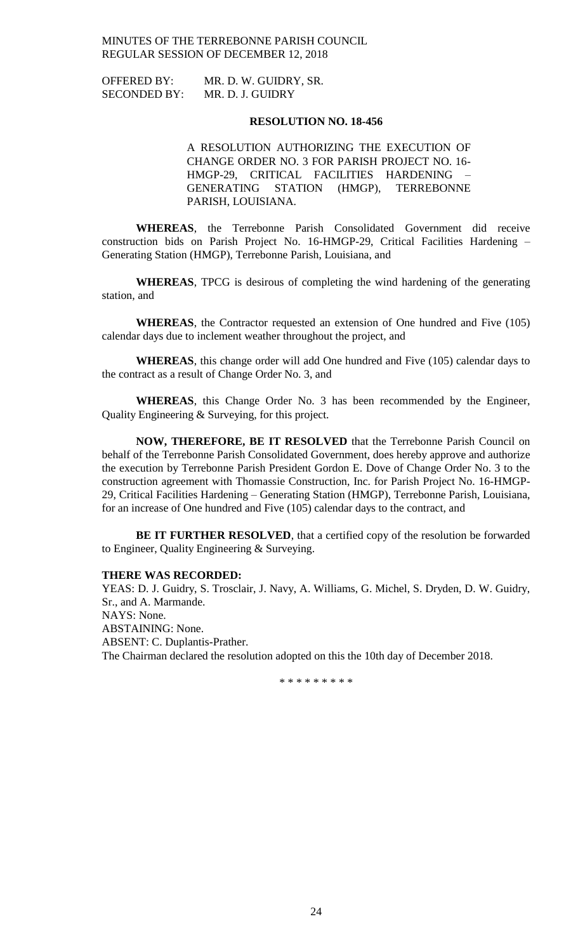| <b>OFFERED BY:</b>  | MR. D. W. GUIDRY, SR. |
|---------------------|-----------------------|
| <b>SECONDED BY:</b> | MR. D. J. GUIDRY      |

#### **RESOLUTION NO. 18-456**

A RESOLUTION AUTHORIZING THE EXECUTION OF CHANGE ORDER NO. 3 FOR PARISH PROJECT NO. 16- HMGP-29, CRITICAL FACILITIES HARDENING – GENERATING STATION (HMGP), TERREBONNE PARISH, LOUISIANA.

**WHEREAS**, the Terrebonne Parish Consolidated Government did receive construction bids on Parish Project No. 16-HMGP-29, Critical Facilities Hardening – Generating Station (HMGP), Terrebonne Parish, Louisiana, and

**WHEREAS**, TPCG is desirous of completing the wind hardening of the generating station, and

**WHEREAS**, the Contractor requested an extension of One hundred and Five (105) calendar days due to inclement weather throughout the project, and

**WHEREAS**, this change order will add One hundred and Five (105) calendar days to the contract as a result of Change Order No. 3, and

**WHEREAS**, this Change Order No. 3 has been recommended by the Engineer, Quality Engineering & Surveying, for this project.

**NOW, THEREFORE, BE IT RESOLVED** that the Terrebonne Parish Council on behalf of the Terrebonne Parish Consolidated Government, does hereby approve and authorize the execution by Terrebonne Parish President Gordon E. Dove of Change Order No. 3 to the construction agreement with Thomassie Construction, Inc. for Parish Project No. 16-HMGP-29, Critical Facilities Hardening – Generating Station (HMGP), Terrebonne Parish, Louisiana, for an increase of One hundred and Five (105) calendar days to the contract, and

**BE IT FURTHER RESOLVED**, that a certified copy of the resolution be forwarded to Engineer, Quality Engineering & Surveying.

### **THERE WAS RECORDED:**

YEAS: D. J. Guidry, S. Trosclair, J. Navy, A. Williams, G. Michel, S. Dryden, D. W. Guidry, Sr., and A. Marmande. NAYS: None. ABSTAINING: None. ABSENT: C. Duplantis-Prather. The Chairman declared the resolution adopted on this the 10th day of December 2018.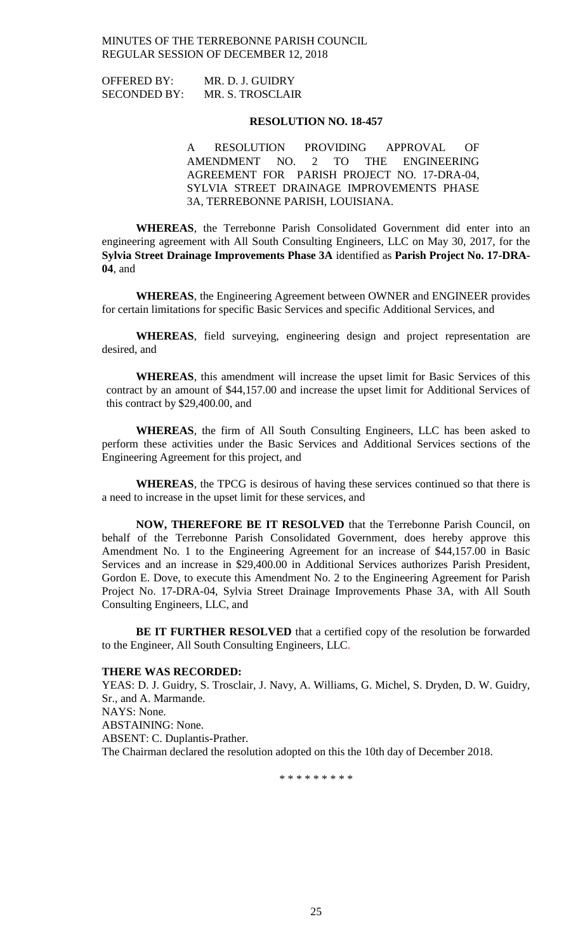| <b>OFFERED BY:</b>  | MR. D. J. GUIDRY |
|---------------------|------------------|
| <b>SECONDED BY:</b> | MR. S. TROSCLAIR |

#### **RESOLUTION NO. 18-457**

A RESOLUTION PROVIDING APPROVAL OF AMENDMENT NO. 2 TO THE ENGINEERING AGREEMENT FOR PARISH PROJECT NO. 17-DRA-04, SYLVIA STREET DRAINAGE IMPROVEMENTS PHASE 3A, TERREBONNE PARISH, LOUISIANA.

**WHEREAS**, the Terrebonne Parish Consolidated Government did enter into an engineering agreement with All South Consulting Engineers, LLC on May 30, 2017, for the **Sylvia Street Drainage Improvements Phase 3A** identified as **Parish Project No. 17-DRA-04**, and

**WHEREAS**, the Engineering Agreement between OWNER and ENGINEER provides for certain limitations for specific Basic Services and specific Additional Services, and

**WHEREAS**, field surveying, engineering design and project representation are desired, and

**WHEREAS**, this amendment will increase the upset limit for Basic Services of this contract by an amount of \$44,157.00 and increase the upset limit for Additional Services of this contract by \$29,400.00, and

**WHEREAS**, the firm of All South Consulting Engineers, LLC has been asked to perform these activities under the Basic Services and Additional Services sections of the Engineering Agreement for this project, and

**WHEREAS**, the TPCG is desirous of having these services continued so that there is a need to increase in the upset limit for these services, and

**NOW, THEREFORE BE IT RESOLVED** that the Terrebonne Parish Council, on behalf of the Terrebonne Parish Consolidated Government, does hereby approve this Amendment No. 1 to the Engineering Agreement for an increase of \$44,157.00 in Basic Services and an increase in \$29,400.00 in Additional Services authorizes Parish President, Gordon E. Dove, to execute this Amendment No. 2 to the Engineering Agreement for Parish Project No. 17-DRA-04, Sylvia Street Drainage Improvements Phase 3A, with All South Consulting Engineers, LLC, and

**BE IT FURTHER RESOLVED** that a certified copy of the resolution be forwarded to the Engineer, All South Consulting Engineers, LLC.

#### **THERE WAS RECORDED:**

YEAS: D. J. Guidry, S. Trosclair, J. Navy, A. Williams, G. Michel, S. Dryden, D. W. Guidry, Sr., and A. Marmande. NAYS: None. ABSTAINING: None. ABSENT: C. Duplantis-Prather. The Chairman declared the resolution adopted on this the 10th day of December 2018.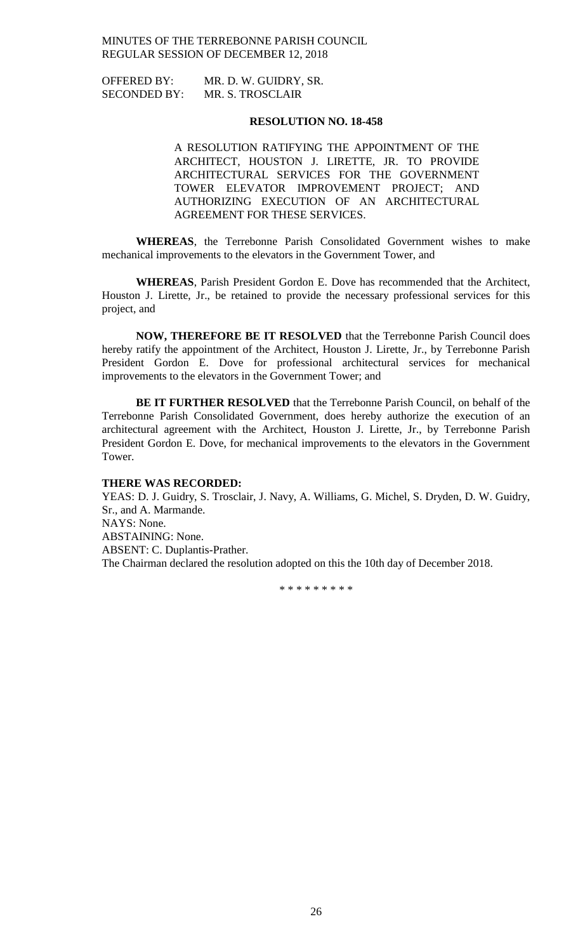| <b>OFFERED BY:</b>  | MR. D. W. GUIDRY, SR. |
|---------------------|-----------------------|
| <b>SECONDED BY:</b> | MR. S. TROSCLAIR      |

#### **RESOLUTION NO. 18-458**

A RESOLUTION RATIFYING THE APPOINTMENT OF THE ARCHITECT, HOUSTON J. LIRETTE, JR. TO PROVIDE ARCHITECTURAL SERVICES FOR THE GOVERNMENT TOWER ELEVATOR IMPROVEMENT PROJECT; AND AUTHORIZING EXECUTION OF AN ARCHITECTURAL AGREEMENT FOR THESE SERVICES.

**WHEREAS**, the Terrebonne Parish Consolidated Government wishes to make mechanical improvements to the elevators in the Government Tower, and

**WHEREAS**, Parish President Gordon E. Dove has recommended that the Architect, Houston J. Lirette, Jr., be retained to provide the necessary professional services for this project, and

**NOW, THEREFORE BE IT RESOLVED** that the Terrebonne Parish Council does hereby ratify the appointment of the Architect, Houston J. Lirette, Jr., by Terrebonne Parish President Gordon E. Dove for professional architectural services for mechanical improvements to the elevators in the Government Tower; and

**BE IT FURTHER RESOLVED** that the Terrebonne Parish Council, on behalf of the Terrebonne Parish Consolidated Government, does hereby authorize the execution of an architectural agreement with the Architect, Houston J. Lirette, Jr., by Terrebonne Parish President Gordon E. Dove, for mechanical improvements to the elevators in the Government Tower.

#### **THERE WAS RECORDED:**

YEAS: D. J. Guidry, S. Trosclair, J. Navy, A. Williams, G. Michel, S. Dryden, D. W. Guidry, Sr., and A. Marmande. NAYS: None. ABSTAINING: None. ABSENT: C. Duplantis-Prather. The Chairman declared the resolution adopted on this the 10th day of December 2018.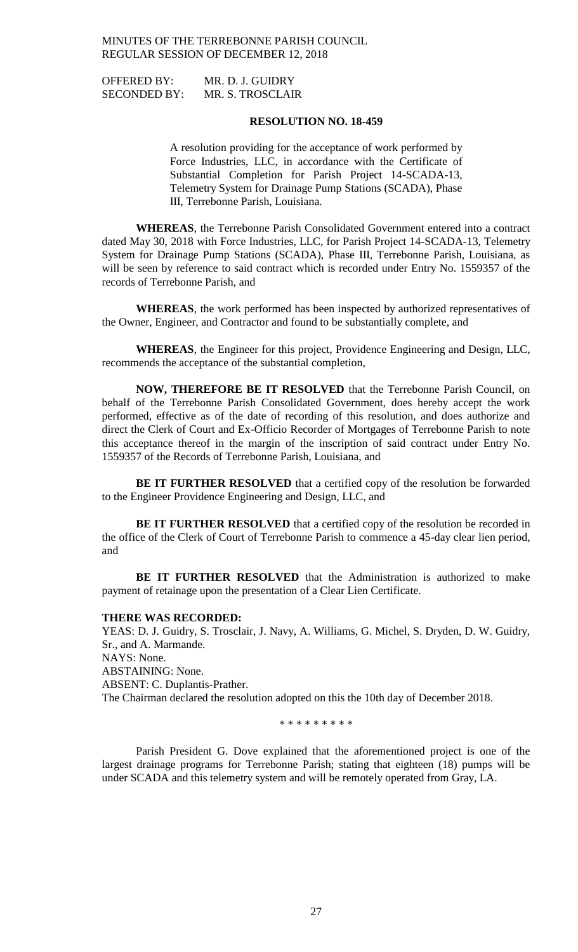OFFERED BY: MR. D. J. GUIDRY SECONDED BY: MR. S. TROSCLAIR

### **RESOLUTION NO. 18-459**

A resolution providing for the acceptance of work performed by Force Industries, LLC, in accordance with the Certificate of Substantial Completion for Parish Project 14-SCADA-13, Telemetry System for Drainage Pump Stations (SCADA), Phase III, Terrebonne Parish, Louisiana.

**WHEREAS**, the Terrebonne Parish Consolidated Government entered into a contract dated May 30, 2018 with Force Industries, LLC, for Parish Project 14-SCADA-13, Telemetry System for Drainage Pump Stations (SCADA), Phase III, Terrebonne Parish, Louisiana, as will be seen by reference to said contract which is recorded under Entry No. 1559357 of the records of Terrebonne Parish, and

**WHEREAS**, the work performed has been inspected by authorized representatives of the Owner, Engineer, and Contractor and found to be substantially complete, and

**WHEREAS**, the Engineer for this project, Providence Engineering and Design, LLC, recommends the acceptance of the substantial completion,

**NOW, THEREFORE BE IT RESOLVED** that the Terrebonne Parish Council, on behalf of the Terrebonne Parish Consolidated Government, does hereby accept the work performed, effective as of the date of recording of this resolution, and does authorize and direct the Clerk of Court and Ex-Officio Recorder of Mortgages of Terrebonne Parish to note this acceptance thereof in the margin of the inscription of said contract under Entry No. 1559357 of the Records of Terrebonne Parish, Louisiana, and

**BE IT FURTHER RESOLVED** that a certified copy of the resolution be forwarded to the Engineer Providence Engineering and Design, LLC, and

**BE IT FURTHER RESOLVED** that a certified copy of the resolution be recorded in the office of the Clerk of Court of Terrebonne Parish to commence a 45-day clear lien period, and

**BE IT FURTHER RESOLVED** that the Administration is authorized to make payment of retainage upon the presentation of a Clear Lien Certificate.

#### **THERE WAS RECORDED:**

YEAS: D. J. Guidry, S. Trosclair, J. Navy, A. Williams, G. Michel, S. Dryden, D. W. Guidry, Sr., and A. Marmande.

NAYS: None.

ABSTAINING: None.

ABSENT: C. Duplantis-Prather.

The Chairman declared the resolution adopted on this the 10th day of December 2018.

\* \* \* \* \* \* \* \* \*

Parish President G. Dove explained that the aforementioned project is one of the largest drainage programs for Terrebonne Parish; stating that eighteen (18) pumps will be under SCADA and this telemetry system and will be remotely operated from Gray, LA.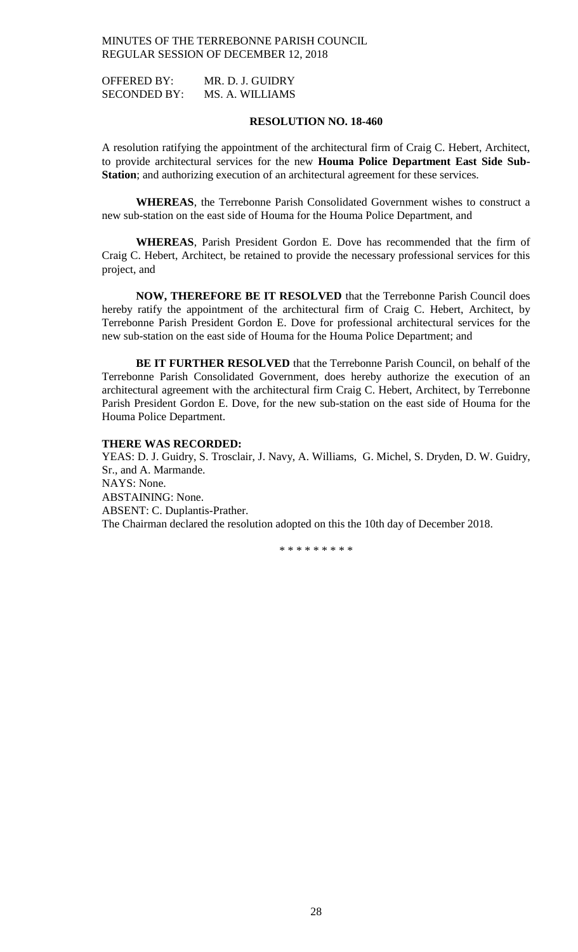OFFERED BY: MR. D. J. GUIDRY SECONDED BY: MS. A. WILLIAMS

#### **RESOLUTION NO. 18-460**

A resolution ratifying the appointment of the architectural firm of Craig C. Hebert, Architect, to provide architectural services for the new **Houma Police Department East Side Sub-Station**; and authorizing execution of an architectural agreement for these services.

**WHEREAS**, the Terrebonne Parish Consolidated Government wishes to construct a new sub-station on the east side of Houma for the Houma Police Department, and

**WHEREAS**, Parish President Gordon E. Dove has recommended that the firm of Craig C. Hebert, Architect, be retained to provide the necessary professional services for this project, and

**NOW, THEREFORE BE IT RESOLVED** that the Terrebonne Parish Council does hereby ratify the appointment of the architectural firm of Craig C. Hebert, Architect, by Terrebonne Parish President Gordon E. Dove for professional architectural services for the new sub-station on the east side of Houma for the Houma Police Department; and

**BE IT FURTHER RESOLVED** that the Terrebonne Parish Council, on behalf of the Terrebonne Parish Consolidated Government, does hereby authorize the execution of an architectural agreement with the architectural firm Craig C. Hebert, Architect, by Terrebonne Parish President Gordon E. Dove, for the new sub-station on the east side of Houma for the Houma Police Department.

#### **THERE WAS RECORDED:**

YEAS: D. J. Guidry, S. Trosclair, J. Navy, A. Williams, G. Michel, S. Dryden, D. W. Guidry, Sr., and A. Marmande. NAYS: None. ABSTAINING: None. ABSENT: C. Duplantis-Prather. The Chairman declared the resolution adopted on this the 10th day of December 2018.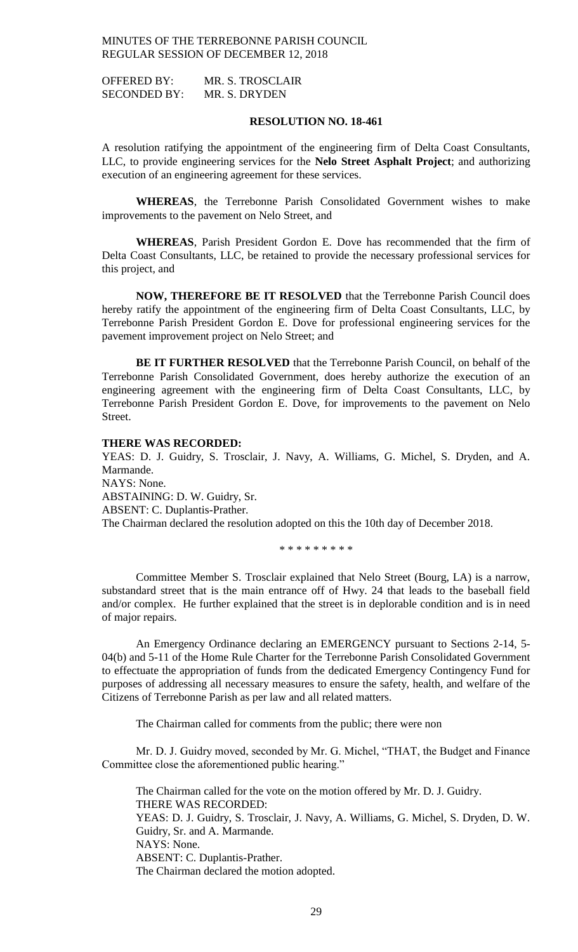OFFERED BY: MR. S. TROSCLAIR SECONDED BY: MR. S. DRYDEN

#### **RESOLUTION NO. 18-461**

A resolution ratifying the appointment of the engineering firm of Delta Coast Consultants, LLC, to provide engineering services for the **Nelo Street Asphalt Project**; and authorizing execution of an engineering agreement for these services.

**WHEREAS**, the Terrebonne Parish Consolidated Government wishes to make improvements to the pavement on Nelo Street, and

**WHEREAS**, Parish President Gordon E. Dove has recommended that the firm of Delta Coast Consultants, LLC, be retained to provide the necessary professional services for this project, and

**NOW, THEREFORE BE IT RESOLVED** that the Terrebonne Parish Council does hereby ratify the appointment of the engineering firm of Delta Coast Consultants, LLC, by Terrebonne Parish President Gordon E. Dove for professional engineering services for the pavement improvement project on Nelo Street; and

**BE IT FURTHER RESOLVED** that the Terrebonne Parish Council, on behalf of the Terrebonne Parish Consolidated Government, does hereby authorize the execution of an engineering agreement with the engineering firm of Delta Coast Consultants, LLC, by Terrebonne Parish President Gordon E. Dove, for improvements to the pavement on Nelo Street.

### **THERE WAS RECORDED:**

YEAS: D. J. Guidry, S. Trosclair, J. Navy, A. Williams, G. Michel, S. Dryden, and A. Marmande.

NAYS: None. ABSTAINING: D. W. Guidry, Sr. ABSENT: C. Duplantis-Prather. The Chairman declared the resolution adopted on this the 10th day of December 2018.

\* \* \* \* \* \* \* \* \*

Committee Member S. Trosclair explained that Nelo Street (Bourg, LA) is a narrow, substandard street that is the main entrance off of Hwy. 24 that leads to the baseball field and/or complex. He further explained that the street is in deplorable condition and is in need of major repairs.

An Emergency Ordinance declaring an EMERGENCY pursuant to Sections 2-14, 5- 04(b) and 5-11 of the Home Rule Charter for the Terrebonne Parish Consolidated Government to effectuate the appropriation of funds from the dedicated Emergency Contingency Fund for purposes of addressing all necessary measures to ensure the safety, health, and welfare of the Citizens of Terrebonne Parish as per law and all related matters.

The Chairman called for comments from the public; there were non

Mr. D. J. Guidry moved, seconded by Mr. G. Michel, "THAT, the Budget and Finance Committee close the aforementioned public hearing."

The Chairman called for the vote on the motion offered by Mr. D. J. Guidry. THERE WAS RECORDED: YEAS: D. J. Guidry, S. Trosclair, J. Navy, A. Williams, G. Michel, S. Dryden, D. W. Guidry, Sr. and A. Marmande. NAYS: None. ABSENT: C. Duplantis-Prather. The Chairman declared the motion adopted.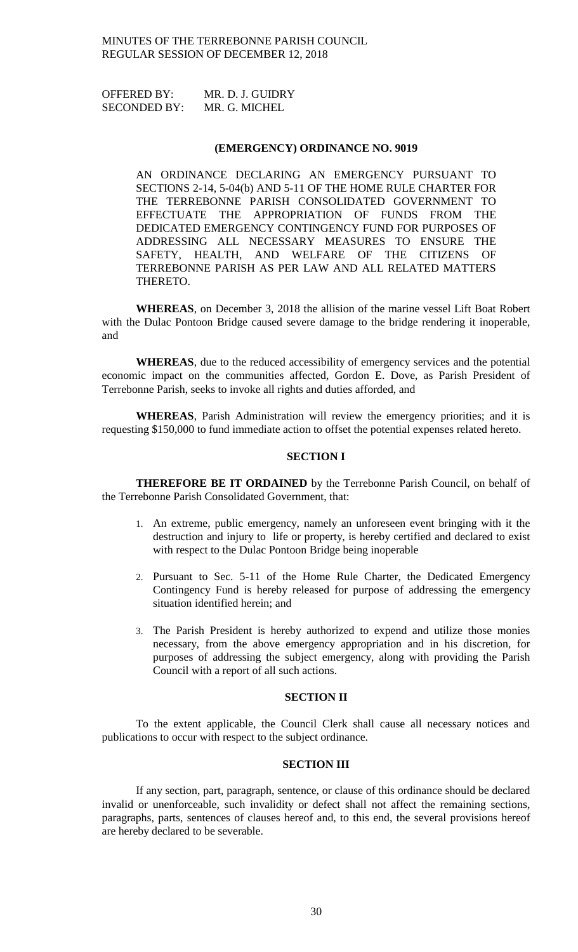OFFERED BY: MR. D. J. GUIDRY SECONDED BY: MR. G. MICHEL

#### **(EMERGENCY) ORDINANCE NO. 9019**

AN ORDINANCE DECLARING AN EMERGENCY PURSUANT TO SECTIONS 2-14, 5-04(b) AND 5-11 OF THE HOME RULE CHARTER FOR THE TERREBONNE PARISH CONSOLIDATED GOVERNMENT TO EFFECTUATE THE APPROPRIATION OF FUNDS FROM THE DEDICATED EMERGENCY CONTINGENCY FUND FOR PURPOSES OF ADDRESSING ALL NECESSARY MEASURES TO ENSURE THE SAFETY, HEALTH, AND WELFARE OF THE CITIZENS OF TERREBONNE PARISH AS PER LAW AND ALL RELATED MATTERS THERETO.

**WHEREAS**, on December 3, 2018 the allision of the marine vessel Lift Boat Robert with the Dulac Pontoon Bridge caused severe damage to the bridge rendering it inoperable, and

**WHEREAS**, due to the reduced accessibility of emergency services and the potential economic impact on the communities affected, Gordon E. Dove, as Parish President of Terrebonne Parish, seeks to invoke all rights and duties afforded, and

**WHEREAS**, Parish Administration will review the emergency priorities; and it is requesting \$150,000 to fund immediate action to offset the potential expenses related hereto.

#### **SECTION I**

**THEREFORE BE IT ORDAINED** by the Terrebonne Parish Council, on behalf of the Terrebonne Parish Consolidated Government, that:

- 1. An extreme, public emergency, namely an unforeseen event bringing with it the destruction and injury to life or property, is hereby certified and declared to exist with respect to the Dulac Pontoon Bridge being inoperable
- 2. Pursuant to Sec. 5-11 of the Home Rule Charter, the Dedicated Emergency Contingency Fund is hereby released for purpose of addressing the emergency situation identified herein; and
- 3. The Parish President is hereby authorized to expend and utilize those monies necessary, from the above emergency appropriation and in his discretion, for purposes of addressing the subject emergency, along with providing the Parish Council with a report of all such actions.

# **SECTION II**

To the extent applicable, the Council Clerk shall cause all necessary notices and publications to occur with respect to the subject ordinance.

# **SECTION III**

If any section, part, paragraph, sentence, or clause of this ordinance should be declared invalid or unenforceable, such invalidity or defect shall not affect the remaining sections, paragraphs, parts, sentences of clauses hereof and, to this end, the several provisions hereof are hereby declared to be severable.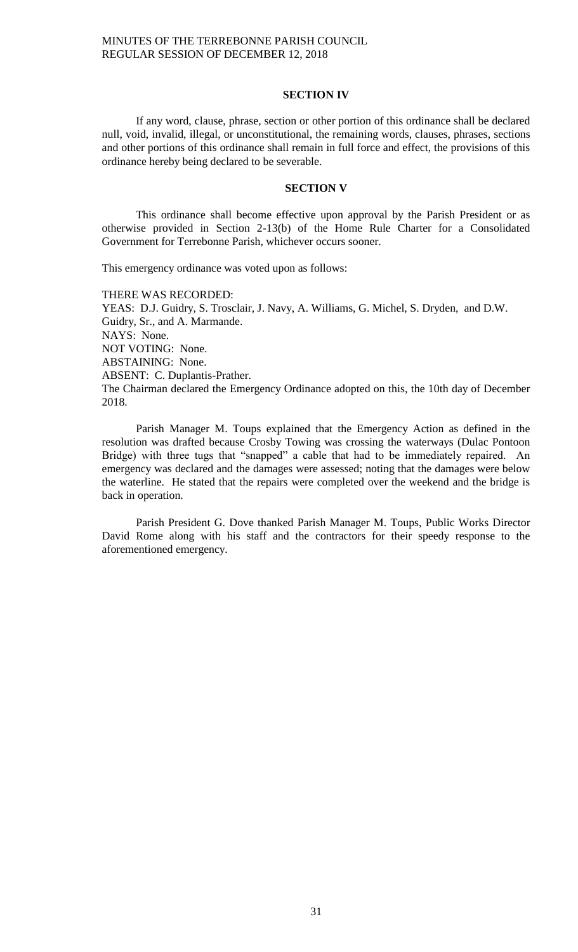### **SECTION IV**

If any word, clause, phrase, section or other portion of this ordinance shall be declared null, void, invalid, illegal, or unconstitutional, the remaining words, clauses, phrases, sections and other portions of this ordinance shall remain in full force and effect, the provisions of this ordinance hereby being declared to be severable.

### **SECTION V**

This ordinance shall become effective upon approval by the Parish President or as otherwise provided in Section 2-13(b) of the Home Rule Charter for a Consolidated Government for Terrebonne Parish, whichever occurs sooner.

This emergency ordinance was voted upon as follows:

THERE WAS RECORDED: YEAS: D.J. Guidry, S. Trosclair, J. Navy, A. Williams, G. Michel, S. Dryden, and D.W. Guidry, Sr., and A. Marmande. NAYS: None. NOT VOTING: None. ABSTAINING: None. ABSENT: C. Duplantis-Prather. The Chairman declared the Emergency Ordinance adopted on this, the 10th day of December 2018.

Parish Manager M. Toups explained that the Emergency Action as defined in the resolution was drafted because Crosby Towing was crossing the waterways (Dulac Pontoon Bridge) with three tugs that "snapped" a cable that had to be immediately repaired. An emergency was declared and the damages were assessed; noting that the damages were below the waterline. He stated that the repairs were completed over the weekend and the bridge is back in operation.

Parish President G. Dove thanked Parish Manager M. Toups, Public Works Director David Rome along with his staff and the contractors for their speedy response to the aforementioned emergency.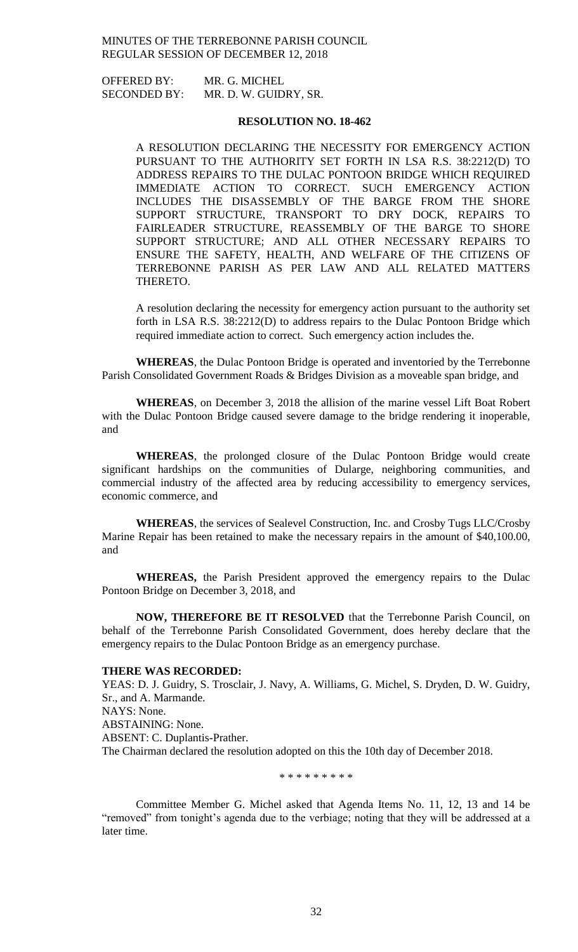OFFERED BY: MR. G. MICHEL SECONDED BY: MR. D. W. GUIDRY, SR.

#### **RESOLUTION NO. 18-462**

A RESOLUTION DECLARING THE NECESSITY FOR EMERGENCY ACTION PURSUANT TO THE AUTHORITY SET FORTH IN LSA R.S. 38:2212(D) TO ADDRESS REPAIRS TO THE DULAC PONTOON BRIDGE WHICH REQUIRED IMMEDIATE ACTION TO CORRECT. SUCH EMERGENCY ACTION INCLUDES THE DISASSEMBLY OF THE BARGE FROM THE SHORE SUPPORT STRUCTURE, TRANSPORT TO DRY DOCK, REPAIRS TO FAIRLEADER STRUCTURE, REASSEMBLY OF THE BARGE TO SHORE SUPPORT STRUCTURE; AND ALL OTHER NECESSARY REPAIRS TO ENSURE THE SAFETY, HEALTH, AND WELFARE OF THE CITIZENS OF TERREBONNE PARISH AS PER LAW AND ALL RELATED MATTERS THERETO.

A resolution declaring the necessity for emergency action pursuant to the authority set forth in LSA R.S. 38:2212(D) to address repairs to the Dulac Pontoon Bridge which required immediate action to correct. Such emergency action includes the.

**WHEREAS**, the Dulac Pontoon Bridge is operated and inventoried by the Terrebonne Parish Consolidated Government Roads & Bridges Division as a moveable span bridge, and

**WHEREAS**, on December 3, 2018 the allision of the marine vessel Lift Boat Robert with the Dulac Pontoon Bridge caused severe damage to the bridge rendering it inoperable, and

**WHEREAS**, the prolonged closure of the Dulac Pontoon Bridge would create significant hardships on the communities of Dularge, neighboring communities, and commercial industry of the affected area by reducing accessibility to emergency services, economic commerce, and

**WHEREAS**, the services of Sealevel Construction, Inc. and Crosby Tugs LLC/Crosby Marine Repair has been retained to make the necessary repairs in the amount of \$40,100.00, and

**WHEREAS,** the Parish President approved the emergency repairs to the Dulac Pontoon Bridge on December 3, 2018, and

**NOW, THEREFORE BE IT RESOLVED** that the Terrebonne Parish Council, on behalf of the Terrebonne Parish Consolidated Government, does hereby declare that the emergency repairs to the Dulac Pontoon Bridge as an emergency purchase.

### **THERE WAS RECORDED:**

YEAS: D. J. Guidry, S. Trosclair, J. Navy, A. Williams, G. Michel, S. Dryden, D. W. Guidry, Sr., and A. Marmande. NAYS: None. ABSTAINING: None. ABSENT: C. Duplantis-Prather. The Chairman declared the resolution adopted on this the 10th day of December 2018.

\* \* \* \* \* \* \* \* \*

Committee Member G. Michel asked that Agenda Items No. 11, 12, 13 and 14 be "removed" from tonight's agenda due to the verbiage; noting that they will be addressed at a later time.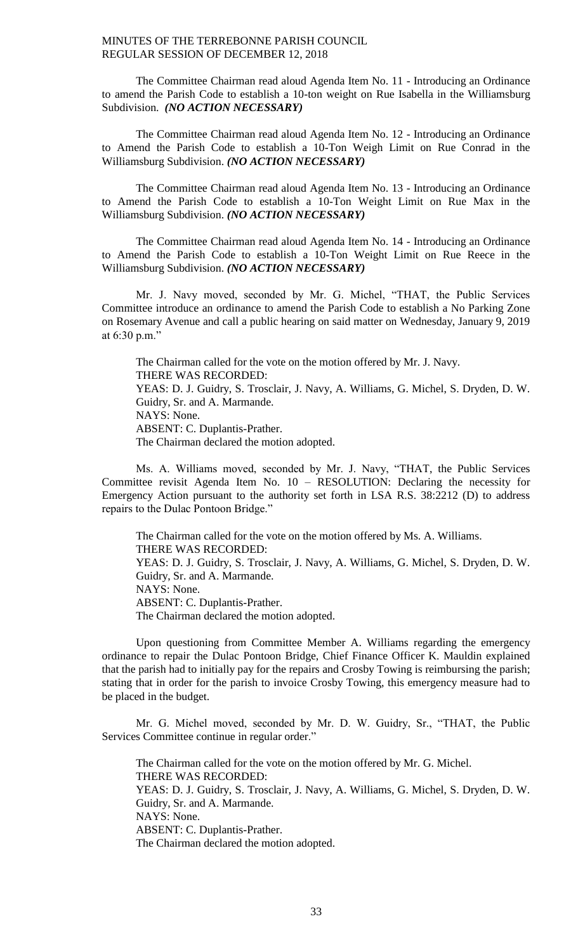The Committee Chairman read aloud Agenda Item No. 11 - Introducing an Ordinance to amend the Parish Code to establish a 10-ton weight on Rue Isabella in the Williamsburg Subdivision. *(NO ACTION NECESSARY)*

The Committee Chairman read aloud Agenda Item No. 12 - Introducing an Ordinance to Amend the Parish Code to establish a 10-Ton Weigh Limit on Rue Conrad in the Williamsburg Subdivision. *(NO ACTION NECESSARY)*

The Committee Chairman read aloud Agenda Item No. 13 - Introducing an Ordinance to Amend the Parish Code to establish a 10-Ton Weight Limit on Rue Max in the Williamsburg Subdivision. *(NO ACTION NECESSARY)*

The Committee Chairman read aloud Agenda Item No. 14 - Introducing an Ordinance to Amend the Parish Code to establish a 10-Ton Weight Limit on Rue Reece in the Williamsburg Subdivision. *(NO ACTION NECESSARY)*

Mr. J. Navy moved, seconded by Mr. G. Michel, "THAT, the Public Services Committee introduce an ordinance to amend the Parish Code to establish a No Parking Zone on Rosemary Avenue and call a public hearing on said matter on Wednesday, January 9, 2019 at 6:30 p.m."

The Chairman called for the vote on the motion offered by Mr. J. Navy. THERE WAS RECORDED: YEAS: D. J. Guidry, S. Trosclair, J. Navy, A. Williams, G. Michel, S. Dryden, D. W. Guidry, Sr. and A. Marmande. NAYS: None. ABSENT: C. Duplantis-Prather. The Chairman declared the motion adopted.

Ms. A. Williams moved, seconded by Mr. J. Navy, "THAT, the Public Services Committee revisit Agenda Item No. 10 – RESOLUTION: Declaring the necessity for Emergency Action pursuant to the authority set forth in LSA R.S. 38:2212 (D) to address repairs to the Dulac Pontoon Bridge."

The Chairman called for the vote on the motion offered by Ms. A. Williams. THERE WAS RECORDED: YEAS: D. J. Guidry, S. Trosclair, J. Navy, A. Williams, G. Michel, S. Dryden, D. W. Guidry, Sr. and A. Marmande. NAYS: None. ABSENT: C. Duplantis-Prather. The Chairman declared the motion adopted.

Upon questioning from Committee Member A. Williams regarding the emergency ordinance to repair the Dulac Pontoon Bridge, Chief Finance Officer K. Mauldin explained that the parish had to initially pay for the repairs and Crosby Towing is reimbursing the parish; stating that in order for the parish to invoice Crosby Towing, this emergency measure had to be placed in the budget.

Mr. G. Michel moved, seconded by Mr. D. W. Guidry, Sr., "THAT, the Public Services Committee continue in regular order."

The Chairman called for the vote on the motion offered by Mr. G. Michel. THERE WAS RECORDED: YEAS: D. J. Guidry, S. Trosclair, J. Navy, A. Williams, G. Michel, S. Dryden, D. W. Guidry, Sr. and A. Marmande. NAYS: None. ABSENT: C. Duplantis-Prather. The Chairman declared the motion adopted.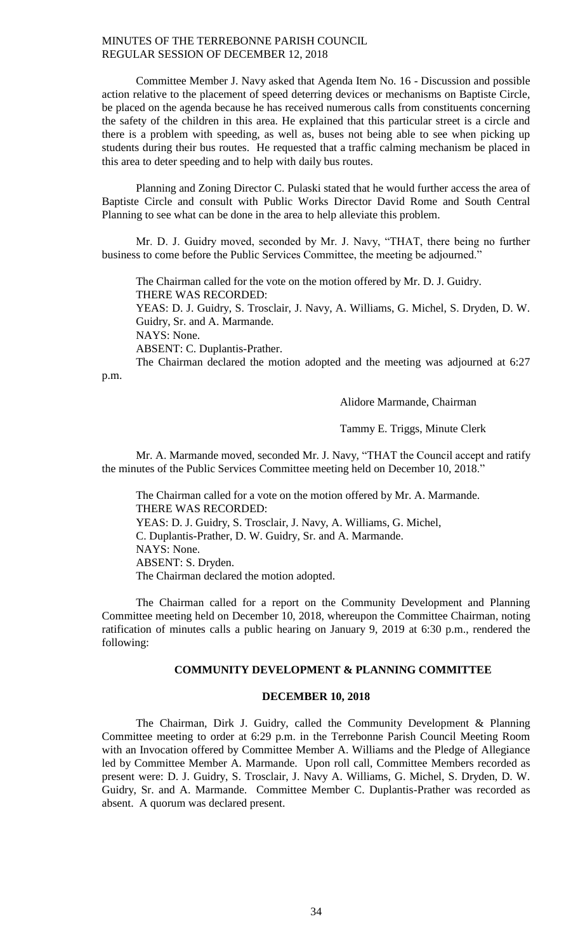Committee Member J. Navy asked that Agenda Item No. 16 - Discussion and possible action relative to the placement of speed deterring devices or mechanisms on Baptiste Circle, be placed on the agenda because he has received numerous calls from constituents concerning the safety of the children in this area. He explained that this particular street is a circle and there is a problem with speeding, as well as, buses not being able to see when picking up students during their bus routes. He requested that a traffic calming mechanism be placed in this area to deter speeding and to help with daily bus routes.

Planning and Zoning Director C. Pulaski stated that he would further access the area of Baptiste Circle and consult with Public Works Director David Rome and South Central Planning to see what can be done in the area to help alleviate this problem.

Mr. D. J. Guidry moved, seconded by Mr. J. Navy, "THAT, there being no further business to come before the Public Services Committee, the meeting be adjourned."

The Chairman called for the vote on the motion offered by Mr. D. J. Guidry. THERE WAS RECORDED:

YEAS: D. J. Guidry, S. Trosclair, J. Navy, A. Williams, G. Michel, S. Dryden, D. W. Guidry, Sr. and A. Marmande.

NAYS: None.

ABSENT: C. Duplantis-Prather.

The Chairman declared the motion adopted and the meeting was adjourned at 6:27 p.m.

Alidore Marmande, Chairman

Tammy E. Triggs, Minute Clerk

Mr. A. Marmande moved, seconded Mr. J. Navy, "THAT the Council accept and ratify the minutes of the Public Services Committee meeting held on December 10, 2018."

The Chairman called for a vote on the motion offered by Mr. A. Marmande. THERE WAS RECORDED: YEAS: D. J. Guidry, S. Trosclair, J. Navy, A. Williams, G. Michel, C. Duplantis-Prather, D. W. Guidry, Sr. and A. Marmande. NAYS: None. ABSENT: S. Dryden. The Chairman declared the motion adopted.

The Chairman called for a report on the Community Development and Planning Committee meeting held on December 10, 2018, whereupon the Committee Chairman, noting ratification of minutes calls a public hearing on January 9, 2019 at 6:30 p.m., rendered the following:

### **COMMUNITY DEVELOPMENT & PLANNING COMMITTEE**

## **DECEMBER 10, 2018**

The Chairman, Dirk J. Guidry, called the Community Development & Planning Committee meeting to order at 6:29 p.m. in the Terrebonne Parish Council Meeting Room with an Invocation offered by Committee Member A. Williams and the Pledge of Allegiance led by Committee Member A. Marmande. Upon roll call, Committee Members recorded as present were: D. J. Guidry, S. Trosclair, J. Navy A. Williams, G. Michel, S. Dryden, D. W. Guidry, Sr. and A. Marmande. Committee Member C. Duplantis-Prather was recorded as absent. A quorum was declared present.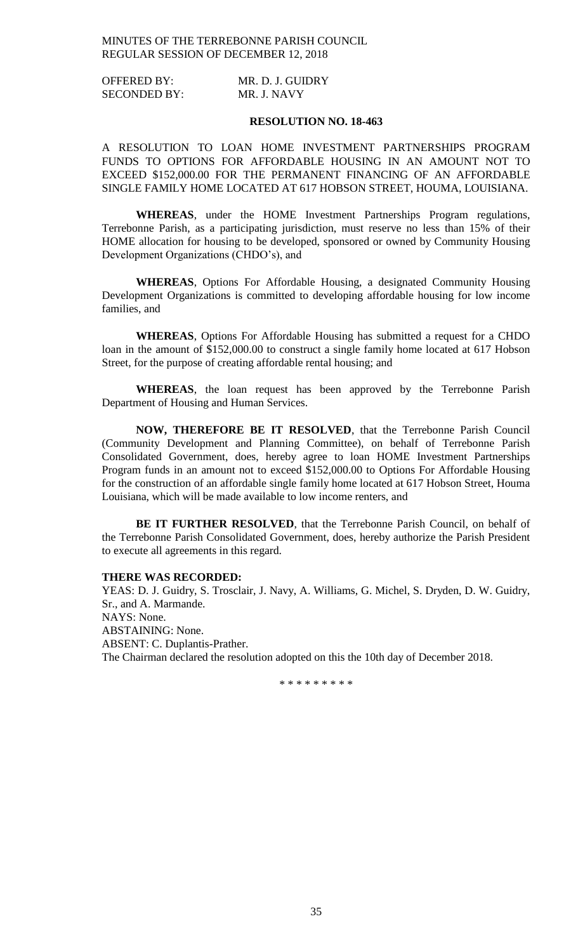| <b>OFFERED BY:</b>  | MR. D. J. GUIDRY |
|---------------------|------------------|
| <b>SECONDED BY:</b> | MR. J. NAVY      |

#### **RESOLUTION NO. 18-463**

A RESOLUTION TO LOAN HOME INVESTMENT PARTNERSHIPS PROGRAM FUNDS TO OPTIONS FOR AFFORDABLE HOUSING IN AN AMOUNT NOT TO EXCEED \$152,000.00 FOR THE PERMANENT FINANCING OF AN AFFORDABLE SINGLE FAMILY HOME LOCATED AT 617 HOBSON STREET, HOUMA, LOUISIANA.

**WHEREAS**, under the HOME Investment Partnerships Program regulations, Terrebonne Parish, as a participating jurisdiction, must reserve no less than 15% of their HOME allocation for housing to be developed, sponsored or owned by Community Housing Development Organizations (CHDO's), and

**WHEREAS**, Options For Affordable Housing, a designated Community Housing Development Organizations is committed to developing affordable housing for low income families, and

**WHEREAS**, Options For Affordable Housing has submitted a request for a CHDO loan in the amount of \$152,000.00 to construct a single family home located at 617 Hobson Street, for the purpose of creating affordable rental housing; and

**WHEREAS**, the loan request has been approved by the Terrebonne Parish Department of Housing and Human Services.

**NOW, THEREFORE BE IT RESOLVED**, that the Terrebonne Parish Council (Community Development and Planning Committee), on behalf of Terrebonne Parish Consolidated Government, does, hereby agree to loan HOME Investment Partnerships Program funds in an amount not to exceed \$152,000.00 to Options For Affordable Housing for the construction of an affordable single family home located at 617 Hobson Street, Houma Louisiana, which will be made available to low income renters, and

**BE IT FURTHER RESOLVED**, that the Terrebonne Parish Council, on behalf of the Terrebonne Parish Consolidated Government, does, hereby authorize the Parish President to execute all agreements in this regard.

## **THERE WAS RECORDED:**

YEAS: D. J. Guidry, S. Trosclair, J. Navy, A. Williams, G. Michel, S. Dryden, D. W. Guidry, Sr., and A. Marmande. NAYS: None. ABSTAINING: None. ABSENT: C. Duplantis-Prather. The Chairman declared the resolution adopted on this the 10th day of December 2018.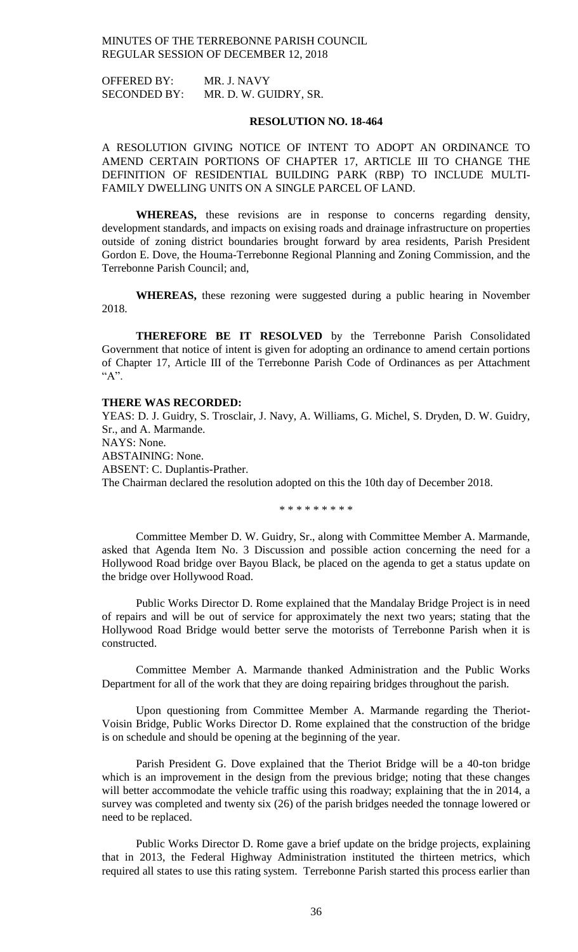OFFERED BY: MR. J. NAVY SECONDED BY: MR. D. W. GUIDRY, SR.

#### **RESOLUTION NO. 18-464**

A RESOLUTION GIVING NOTICE OF INTENT TO ADOPT AN ORDINANCE TO AMEND CERTAIN PORTIONS OF CHAPTER 17, ARTICLE III TO CHANGE THE DEFINITION OF RESIDENTIAL BUILDING PARK (RBP) TO INCLUDE MULTI-FAMILY DWELLING UNITS ON A SINGLE PARCEL OF LAND.

**WHEREAS,** these revisions are in response to concerns regarding density, development standards, and impacts on exising roads and drainage infrastructure on properties outside of zoning district boundaries brought forward by area residents, Parish President Gordon E. Dove, the Houma-Terrebonne Regional Planning and Zoning Commission, and the Terrebonne Parish Council; and,

**WHEREAS,** these rezoning were suggested during a public hearing in November 2018.

**THEREFORE BE IT RESOLVED** by the Terrebonne Parish Consolidated Government that notice of intent is given for adopting an ordinance to amend certain portions of Chapter 17, Article III of the Terrebonne Parish Code of Ordinances as per Attachment "A".

#### **THERE WAS RECORDED:**

YEAS: D. J. Guidry, S. Trosclair, J. Navy, A. Williams, G. Michel, S. Dryden, D. W. Guidry, Sr., and A. Marmande. NAYS: None. ABSTAINING: None. ABSENT: C. Duplantis-Prather. The Chairman declared the resolution adopted on this the 10th day of December 2018.

\* \* \* \* \* \* \* \* \*

Committee Member D. W. Guidry, Sr., along with Committee Member A. Marmande, asked that Agenda Item No. 3 Discussion and possible action concerning the need for a Hollywood Road bridge over Bayou Black, be placed on the agenda to get a status update on the bridge over Hollywood Road.

Public Works Director D. Rome explained that the Mandalay Bridge Project is in need of repairs and will be out of service for approximately the next two years; stating that the Hollywood Road Bridge would better serve the motorists of Terrebonne Parish when it is constructed.

Committee Member A. Marmande thanked Administration and the Public Works Department for all of the work that they are doing repairing bridges throughout the parish.

Upon questioning from Committee Member A. Marmande regarding the Theriot-Voisin Bridge, Public Works Director D. Rome explained that the construction of the bridge is on schedule and should be opening at the beginning of the year.

Parish President G. Dove explained that the Theriot Bridge will be a 40-ton bridge which is an improvement in the design from the previous bridge; noting that these changes will better accommodate the vehicle traffic using this roadway; explaining that the in 2014, a survey was completed and twenty six (26) of the parish bridges needed the tonnage lowered or need to be replaced.

Public Works Director D. Rome gave a brief update on the bridge projects, explaining that in 2013, the Federal Highway Administration instituted the thirteen metrics, which required all states to use this rating system. Terrebonne Parish started this process earlier than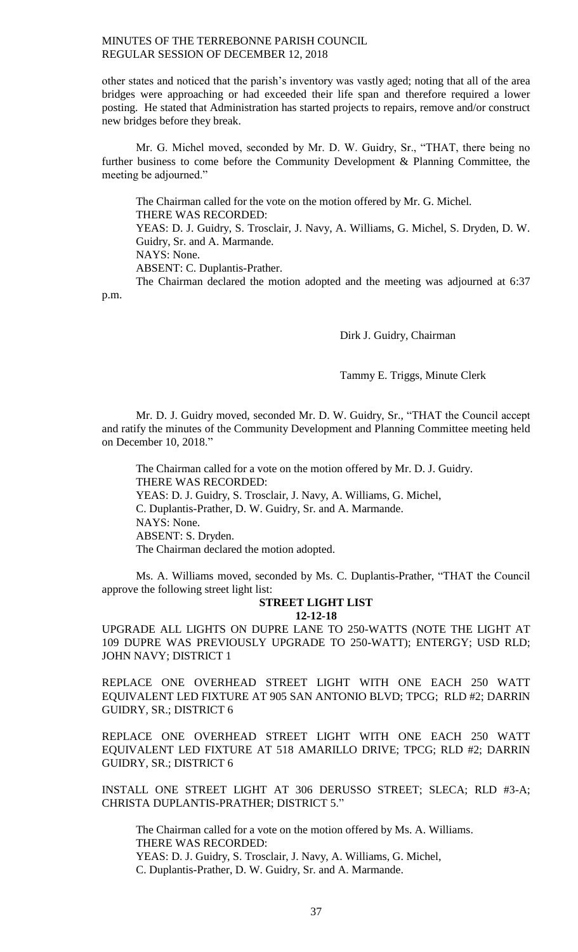other states and noticed that the parish's inventory was vastly aged; noting that all of the area bridges were approaching or had exceeded their life span and therefore required a lower posting. He stated that Administration has started projects to repairs, remove and/or construct new bridges before they break.

Mr. G. Michel moved, seconded by Mr. D. W. Guidry, Sr., "THAT, there being no further business to come before the Community Development & Planning Committee, the meeting be adjourned."

The Chairman called for the vote on the motion offered by Mr. G. Michel. THERE WAS RECORDED: YEAS: D. J. Guidry, S. Trosclair, J. Navy, A. Williams, G. Michel, S. Dryden, D. W. Guidry, Sr. and A. Marmande. NAYS: None. ABSENT: C. Duplantis-Prather. The Chairman declared the motion adopted and the meeting was adjourned at 6:37

p.m.

Dirk J. Guidry, Chairman

Tammy E. Triggs, Minute Clerk

Mr. D. J. Guidry moved, seconded Mr. D. W. Guidry, Sr., "THAT the Council accept and ratify the minutes of the Community Development and Planning Committee meeting held on December 10, 2018."

The Chairman called for a vote on the motion offered by Mr. D. J. Guidry. THERE WAS RECORDED: YEAS: D. J. Guidry, S. Trosclair, J. Navy, A. Williams, G. Michel, C. Duplantis-Prather, D. W. Guidry, Sr. and A. Marmande. NAYS: None. ABSENT: S. Dryden. The Chairman declared the motion adopted.

Ms. A. Williams moved, seconded by Ms. C. Duplantis-Prather, "THAT the Council approve the following street light list:

# **STREET LIGHT LIST**

**12-12-18**

UPGRADE ALL LIGHTS ON DUPRE LANE TO 250-WATTS (NOTE THE LIGHT AT 109 DUPRE WAS PREVIOUSLY UPGRADE TO 250-WATT); ENTERGY; USD RLD; JOHN NAVY; DISTRICT 1

REPLACE ONE OVERHEAD STREET LIGHT WITH ONE EACH 250 WATT EQUIVALENT LED FIXTURE AT 905 SAN ANTONIO BLVD; TPCG; RLD #2; DARRIN GUIDRY, SR.; DISTRICT 6

REPLACE ONE OVERHEAD STREET LIGHT WITH ONE EACH 250 WATT EQUIVALENT LED FIXTURE AT 518 AMARILLO DRIVE; TPCG; RLD #2; DARRIN GUIDRY, SR.; DISTRICT 6

INSTALL ONE STREET LIGHT AT 306 DERUSSO STREET; SLECA; RLD #3-A; CHRISTA DUPLANTIS-PRATHER; DISTRICT 5."

The Chairman called for a vote on the motion offered by Ms. A. Williams. THERE WAS RECORDED: YEAS: D. J. Guidry, S. Trosclair, J. Navy, A. Williams, G. Michel, C. Duplantis-Prather, D. W. Guidry, Sr. and A. Marmande.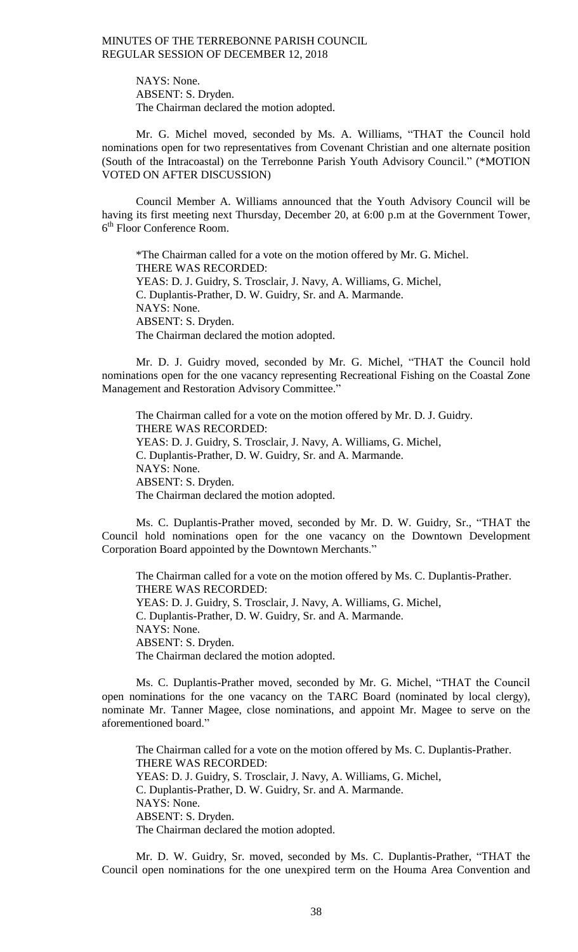NAYS: None. ABSENT: S. Dryden. The Chairman declared the motion adopted.

Mr. G. Michel moved, seconded by Ms. A. Williams, "THAT the Council hold nominations open for two representatives from Covenant Christian and one alternate position (South of the Intracoastal) on the Terrebonne Parish Youth Advisory Council." (\*MOTION VOTED ON AFTER DISCUSSION)

Council Member A. Williams announced that the Youth Advisory Council will be having its first meeting next Thursday, December 20, at 6:00 p.m at the Government Tower, 6 th Floor Conference Room.

\*The Chairman called for a vote on the motion offered by Mr. G. Michel. THERE WAS RECORDED: YEAS: D. J. Guidry, S. Trosclair, J. Navy, A. Williams, G. Michel, C. Duplantis-Prather, D. W. Guidry, Sr. and A. Marmande. NAYS: None. ABSENT: S. Dryden. The Chairman declared the motion adopted.

Mr. D. J. Guidry moved, seconded by Mr. G. Michel, "THAT the Council hold nominations open for the one vacancy representing Recreational Fishing on the Coastal Zone Management and Restoration Advisory Committee."

The Chairman called for a vote on the motion offered by Mr. D. J. Guidry. THERE WAS RECORDED: YEAS: D. J. Guidry, S. Trosclair, J. Navy, A. Williams, G. Michel, C. Duplantis-Prather, D. W. Guidry, Sr. and A. Marmande. NAYS: None. ABSENT: S. Dryden. The Chairman declared the motion adopted.

Ms. C. Duplantis-Prather moved, seconded by Mr. D. W. Guidry, Sr., "THAT the Council hold nominations open for the one vacancy on the Downtown Development Corporation Board appointed by the Downtown Merchants."

The Chairman called for a vote on the motion offered by Ms. C. Duplantis-Prather. THERE WAS RECORDED: YEAS: D. J. Guidry, S. Trosclair, J. Navy, A. Williams, G. Michel, C. Duplantis-Prather, D. W. Guidry, Sr. and A. Marmande. NAYS: None. ABSENT: S. Dryden. The Chairman declared the motion adopted.

Ms. C. Duplantis-Prather moved, seconded by Mr. G. Michel, "THAT the Council open nominations for the one vacancy on the TARC Board (nominated by local clergy), nominate Mr. Tanner Magee, close nominations, and appoint Mr. Magee to serve on the aforementioned board."

The Chairman called for a vote on the motion offered by Ms. C. Duplantis-Prather. THERE WAS RECORDED: YEAS: D. J. Guidry, S. Trosclair, J. Navy, A. Williams, G. Michel, C. Duplantis-Prather, D. W. Guidry, Sr. and A. Marmande. NAYS: None. ABSENT: S. Dryden. The Chairman declared the motion adopted.

Mr. D. W. Guidry, Sr. moved, seconded by Ms. C. Duplantis-Prather, "THAT the Council open nominations for the one unexpired term on the Houma Area Convention and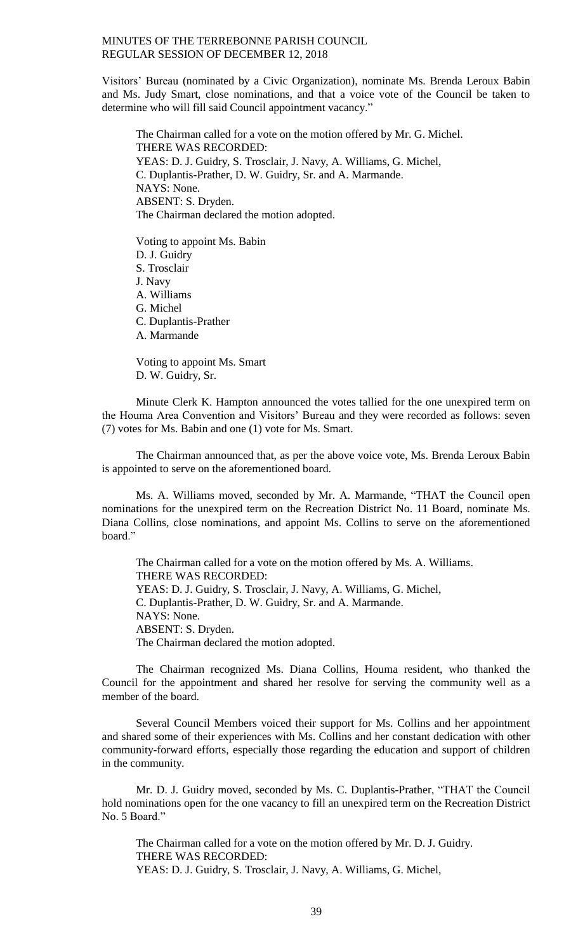Visitors' Bureau (nominated by a Civic Organization), nominate Ms. Brenda Leroux Babin and Ms. Judy Smart, close nominations, and that a voice vote of the Council be taken to determine who will fill said Council appointment vacancy."

The Chairman called for a vote on the motion offered by Mr. G. Michel. THERE WAS RECORDED: YEAS: D. J. Guidry, S. Trosclair, J. Navy, A. Williams, G. Michel, C. Duplantis-Prather, D. W. Guidry, Sr. and A. Marmande. NAYS: None. ABSENT: S. Dryden. The Chairman declared the motion adopted.

Voting to appoint Ms. Babin D. J. Guidry S. Trosclair J. Navy A. Williams G. Michel C. Duplantis-Prather A. Marmande

Voting to appoint Ms. Smart D. W. Guidry, Sr.

Minute Clerk K. Hampton announced the votes tallied for the one unexpired term on the Houma Area Convention and Visitors' Bureau and they were recorded as follows: seven (7) votes for Ms. Babin and one (1) vote for Ms. Smart.

The Chairman announced that, as per the above voice vote, Ms. Brenda Leroux Babin is appointed to serve on the aforementioned board.

Ms. A. Williams moved, seconded by Mr. A. Marmande, "THAT the Council open nominations for the unexpired term on the Recreation District No. 11 Board, nominate Ms. Diana Collins, close nominations, and appoint Ms. Collins to serve on the aforementioned board."

The Chairman called for a vote on the motion offered by Ms. A. Williams. THERE WAS RECORDED: YEAS: D. J. Guidry, S. Trosclair, J. Navy, A. Williams, G. Michel, C. Duplantis-Prather, D. W. Guidry, Sr. and A. Marmande. NAYS: None. ABSENT: S. Dryden. The Chairman declared the motion adopted.

The Chairman recognized Ms. Diana Collins, Houma resident, who thanked the Council for the appointment and shared her resolve for serving the community well as a member of the board.

Several Council Members voiced their support for Ms. Collins and her appointment and shared some of their experiences with Ms. Collins and her constant dedication with other community-forward efforts, especially those regarding the education and support of children in the community.

Mr. D. J. Guidry moved, seconded by Ms. C. Duplantis-Prather, "THAT the Council hold nominations open for the one vacancy to fill an unexpired term on the Recreation District No. 5 Board."

The Chairman called for a vote on the motion offered by Mr. D. J. Guidry. THERE WAS RECORDED: YEAS: D. J. Guidry, S. Trosclair, J. Navy, A. Williams, G. Michel,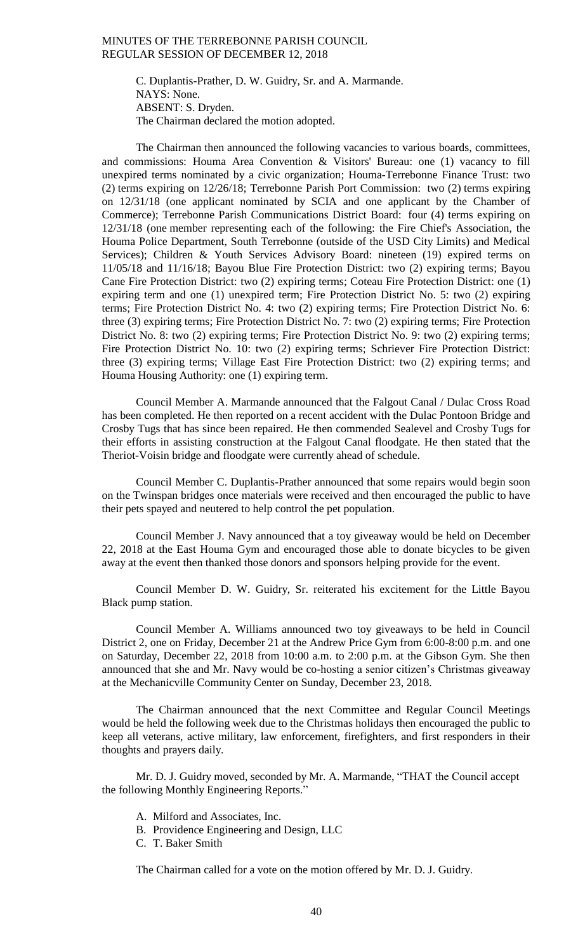C. Duplantis-Prather, D. W. Guidry, Sr. and A. Marmande. NAYS: None. ABSENT: S. Dryden. The Chairman declared the motion adopted.

The Chairman then announced the following vacancies to various boards, committees, and commissions: Houma Area Convention & Visitors' Bureau: one (1) vacancy to fill unexpired terms nominated by a civic organization; Houma-Terrebonne Finance Trust: two (2) terms expiring on 12/26/18; Terrebonne Parish Port Commission: two (2) terms expiring on 12/31/18 (one applicant nominated by SCIA and one applicant by the Chamber of Commerce); Terrebonne Parish Communications District Board: four (4) terms expiring on 12/31/18 (one member representing each of the following: the Fire Chief's Association, the Houma Police Department, South Terrebonne (outside of the USD City Limits) and Medical Services); Children & Youth Services Advisory Board: nineteen (19) expired terms on 11/05/18 and 11/16/18; Bayou Blue Fire Protection District: two (2) expiring terms; Bayou Cane Fire Protection District: two (2) expiring terms; Coteau Fire Protection District: one (1) expiring term and one (1) unexpired term; Fire Protection District No. 5: two (2) expiring terms; Fire Protection District No. 4: two (2) expiring terms; Fire Protection District No. 6: three (3) expiring terms; Fire Protection District No. 7: two (2) expiring terms; Fire Protection District No. 8: two (2) expiring terms; Fire Protection District No. 9: two (2) expiring terms; Fire Protection District No. 10: two (2) expiring terms; Schriever Fire Protection District: three (3) expiring terms; Village East Fire Protection District: two (2) expiring terms; and Houma Housing Authority: one (1) expiring term.

Council Member A. Marmande announced that the Falgout Canal / Dulac Cross Road has been completed. He then reported on a recent accident with the Dulac Pontoon Bridge and Crosby Tugs that has since been repaired. He then commended Sealevel and Crosby Tugs for their efforts in assisting construction at the Falgout Canal floodgate. He then stated that the Theriot-Voisin bridge and floodgate were currently ahead of schedule.

Council Member C. Duplantis-Prather announced that some repairs would begin soon on the Twinspan bridges once materials were received and then encouraged the public to have their pets spayed and neutered to help control the pet population.

Council Member J. Navy announced that a toy giveaway would be held on December 22, 2018 at the East Houma Gym and encouraged those able to donate bicycles to be given away at the event then thanked those donors and sponsors helping provide for the event.

Council Member D. W. Guidry, Sr. reiterated his excitement for the Little Bayou Black pump station.

Council Member A. Williams announced two toy giveaways to be held in Council District 2, one on Friday, December 21 at the Andrew Price Gym from 6:00-8:00 p.m. and one on Saturday, December 22, 2018 from 10:00 a.m. to 2:00 p.m. at the Gibson Gym. She then announced that she and Mr. Navy would be co-hosting a senior citizen's Christmas giveaway at the Mechanicville Community Center on Sunday, December 23, 2018.

The Chairman announced that the next Committee and Regular Council Meetings would be held the following week due to the Christmas holidays then encouraged the public to keep all veterans, active military, law enforcement, firefighters, and first responders in their thoughts and prayers daily.

Mr. D. J. Guidry moved, seconded by Mr. A. Marmande, "THAT the Council accept the following Monthly Engineering Reports."

- A. Milford and Associates, Inc.
- B. Providence Engineering and Design, LLC
- C. T. Baker Smith

The Chairman called for a vote on the motion offered by Mr. D. J. Guidry.